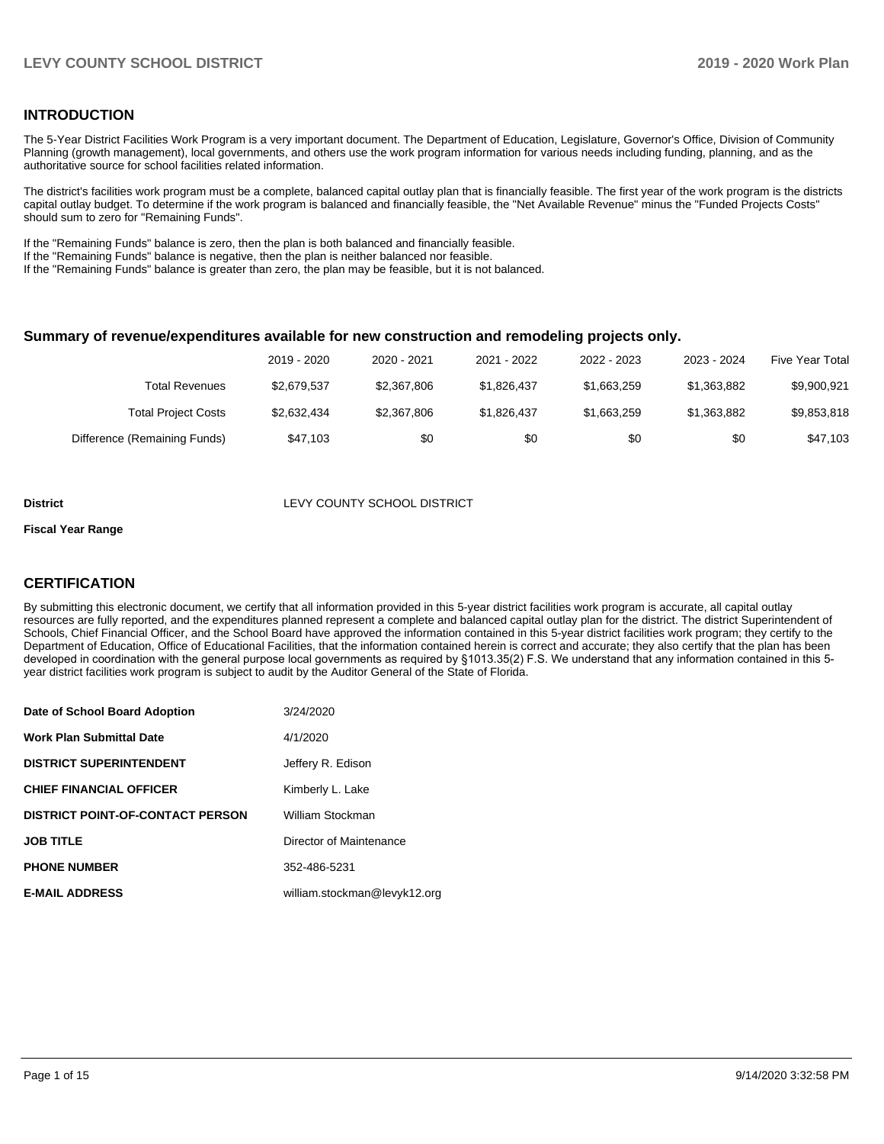#### **INTRODUCTION**

The 5-Year District Facilities Work Program is a very important document. The Department of Education, Legislature, Governor's Office, Division of Community Planning (growth management), local governments, and others use the work program information for various needs including funding, planning, and as the authoritative source for school facilities related information.

The district's facilities work program must be a complete, balanced capital outlay plan that is financially feasible. The first year of the work program is the districts capital outlay budget. To determine if the work program is balanced and financially feasible, the "Net Available Revenue" minus the "Funded Projects Costs" should sum to zero for "Remaining Funds".

If the "Remaining Funds" balance is zero, then the plan is both balanced and financially feasible.

If the "Remaining Funds" balance is negative, then the plan is neither balanced nor feasible.

If the "Remaining Funds" balance is greater than zero, the plan may be feasible, but it is not balanced.

#### **Summary of revenue/expenditures available for new construction and remodeling projects only.**

| Five Year Total | 2023 - 2024 | 2022 - 2023 | 2021 - 2022 | 2020 - 2021 | 2019 - 2020 |                              |
|-----------------|-------------|-------------|-------------|-------------|-------------|------------------------------|
| \$9,900,921     | \$1,363,882 | \$1,663,259 | \$1.826.437 | \$2,367,806 | \$2.679.537 | Total Revenues               |
| \$9,853,818     | \$1,363,882 | \$1,663,259 | \$1.826.437 | \$2,367,806 | \$2,632,434 | <b>Total Project Costs</b>   |
| \$47,103        | \$0         | \$0         | \$0         | \$0         | \$47.103    | Difference (Remaining Funds) |

#### **District LEVY COUNTY SCHOOL DISTRICT**

#### **Fiscal Year Range**

#### **CERTIFICATION**

By submitting this electronic document, we certify that all information provided in this 5-year district facilities work program is accurate, all capital outlay resources are fully reported, and the expenditures planned represent a complete and balanced capital outlay plan for the district. The district Superintendent of Schools, Chief Financial Officer, and the School Board have approved the information contained in this 5-year district facilities work program; they certify to the Department of Education, Office of Educational Facilities, that the information contained herein is correct and accurate; they also certify that the plan has been developed in coordination with the general purpose local governments as required by §1013.35(2) F.S. We understand that any information contained in this 5 year district facilities work program is subject to audit by the Auditor General of the State of Florida.

| Date of School Board Adoption           | 3/24/2020                    |
|-----------------------------------------|------------------------------|
| Work Plan Submittal Date                | 4/1/2020                     |
| <b>DISTRICT SUPERINTENDENT</b>          | Jeffery R. Edison            |
| <b>CHIEF FINANCIAL OFFICER</b>          | Kimberly L. Lake             |
| <b>DISTRICT POINT-OF-CONTACT PERSON</b> | William Stockman             |
| <b>JOB TITLE</b>                        | Director of Maintenance      |
| <b>PHONE NUMBER</b>                     | 352-486-5231                 |
| <b>E-MAIL ADDRESS</b>                   | william.stockman@levyk12.org |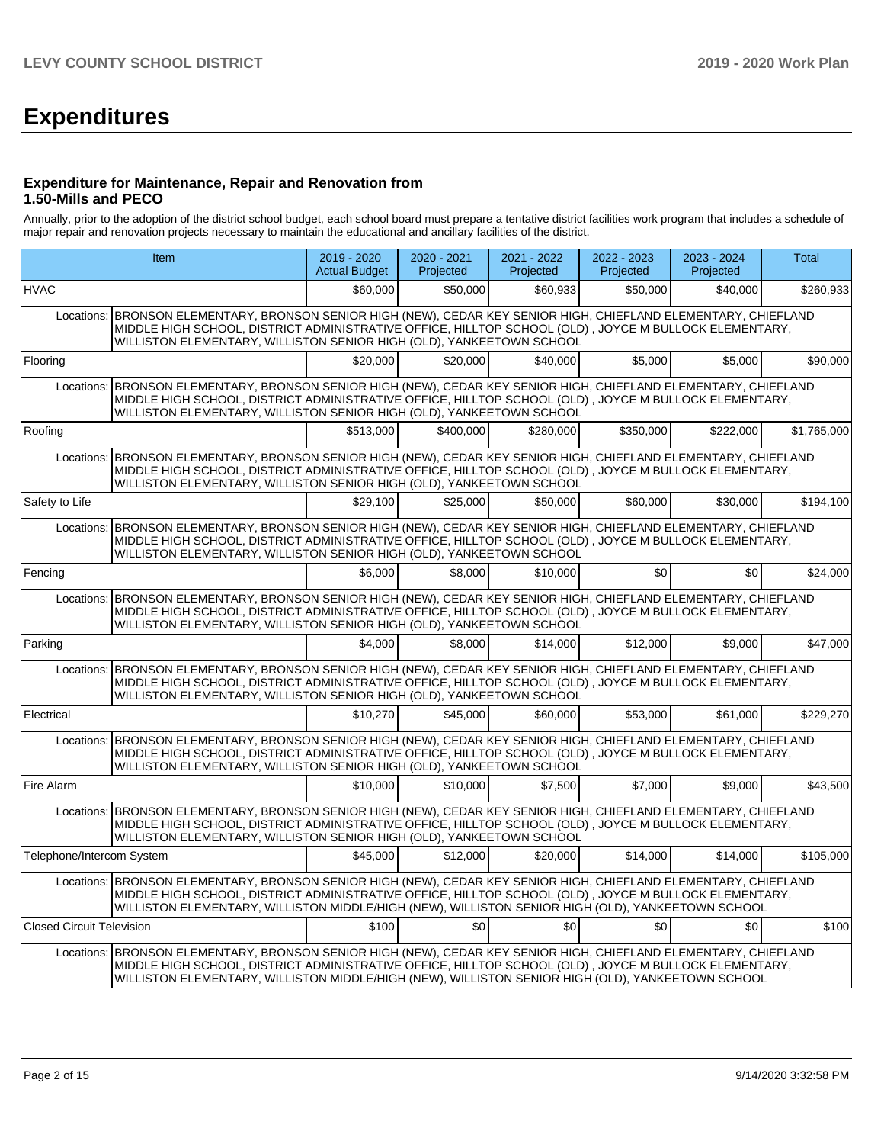# **Expenditures**

#### **Expenditure for Maintenance, Repair and Renovation from 1.50-Mills and PECO**

Annually, prior to the adoption of the district school budget, each school board must prepare a tentative district facilities work program that includes a schedule of major repair and renovation projects necessary to maintain the educational and ancillary facilities of the district.

|                                  | Item                                                                                                                                                                                                                                                                                                                           | 2019 - 2020<br><b>Actual Budget</b> | $2020 - 2021$<br>Projected | 2021 - 2022<br>Projected | 2022 - 2023<br>Projected | 2023 - 2024<br>Projected | <b>Total</b> |
|----------------------------------|--------------------------------------------------------------------------------------------------------------------------------------------------------------------------------------------------------------------------------------------------------------------------------------------------------------------------------|-------------------------------------|----------------------------|--------------------------|--------------------------|--------------------------|--------------|
| <b>HVAC</b>                      |                                                                                                                                                                                                                                                                                                                                | \$60,000                            | \$50,000                   | \$60.933                 | \$50,000                 | \$40,000                 | \$260,933    |
| Locations:                       | BRONSON ELEMENTARY, BRONSON SENIOR HIGH (NEW), CEDAR KEY SENIOR HIGH, CHIEFLAND ELEMENTARY, CHIEFLAND<br>MIDDLE HIGH SCHOOL, DISTRICT ADMINISTRATIVE OFFICE, HILLTOP SCHOOL (OLD), JOYCE M BULLOCK ELEMENTARY,<br>WILLISTON ELEMENTARY, WILLISTON SENIOR HIGH (OLD), YANKEETOWN SCHOOL                                         |                                     |                            |                          |                          |                          |              |
| Flooring                         |                                                                                                                                                                                                                                                                                                                                | \$20,000                            | \$20,000                   | \$40,000                 | \$5,000                  | \$5,000                  | \$90,000     |
| Locations:                       | BRONSON ELEMENTARY, BRONSON SENIOR HIGH (NEW), CEDAR KEY SENIOR HIGH, CHIEFLAND ELEMENTARY, CHIEFLAND<br>MIDDLE HIGH SCHOOL, DISTRICT ADMINISTRATIVE OFFICE, HILLTOP SCHOOL (OLD), JOYCE M BULLOCK ELEMENTARY,<br>WILLISTON ELEMENTARY, WILLISTON SENIOR HIGH (OLD), YANKEETOWN SCHOOL                                         |                                     |                            |                          |                          |                          |              |
| Roofing                          |                                                                                                                                                                                                                                                                                                                                | \$513.000                           | \$400.000                  | \$280,000                | \$350,000                | \$222,000                | \$1,765,000  |
|                                  | Locations: BRONSON ELEMENTARY, BRONSON SENIOR HIGH (NEW), CEDAR KEY SENIOR HIGH, CHIEFLAND ELEMENTARY, CHIEFLAND<br>MIDDLE HIGH SCHOOL, DISTRICT ADMINISTRATIVE OFFICE, HILLTOP SCHOOL (OLD), JOYCE M BULLOCK ELEMENTARY,<br>WILLISTON ELEMENTARY, WILLISTON SENIOR HIGH (OLD), YANKEETOWN SCHOOL                              |                                     |                            |                          |                          |                          |              |
| Safety to Life                   |                                                                                                                                                                                                                                                                                                                                | \$29.100                            | \$25,000                   | \$50,000                 | \$60,000                 | \$30,000                 | \$194.100    |
| Locations:                       | BRONSON ELEMENTARY, BRONSON SENIOR HIGH (NEW), CEDAR KEY SENIOR HIGH, CHIEFLAND ELEMENTARY, CHIEFLAND<br>MIDDLE HIGH SCHOOL, DISTRICT ADMINISTRATIVE OFFICE, HILLTOP SCHOOL (OLD), JOYCE M BULLOCK ELEMENTARY,<br>WILLISTON ELEMENTARY, WILLISTON SENIOR HIGH (OLD), YANKEETOWN SCHOOL                                         |                                     |                            |                          |                          |                          |              |
| Fencing                          |                                                                                                                                                                                                                                                                                                                                | \$6,000                             | \$8,000                    | \$10,000                 | \$0                      | \$0                      | \$24,000     |
| Locations:                       | BRONSON ELEMENTARY, BRONSON SENIOR HIGH (NEW), CEDAR KEY SENIOR HIGH, CHIEFLAND ELEMENTARY, CHIEFLAND<br>MIDDLE HIGH SCHOOL, DISTRICT ADMINISTRATIVE OFFICE, HILLTOP SCHOOL (OLD), JOYCE M BULLOCK ELEMENTARY,<br>WILLISTON ELEMENTARY, WILLISTON SENIOR HIGH (OLD), YANKEETOWN SCHOOL                                         |                                     |                            |                          |                          |                          |              |
| Parking                          |                                                                                                                                                                                                                                                                                                                                | \$4.000                             | \$8,000                    | \$14,000                 | \$12,000                 | \$9,000                  | \$47,000     |
| Locations:                       | BRONSON ELEMENTARY, BRONSON SENIOR HIGH (NEW), CEDAR KEY SENIOR HIGH, CHIEFLAND ELEMENTARY, CHIEFLAND<br>MIDDLE HIGH SCHOOL, DISTRICT ADMINISTRATIVE OFFICE, HILLTOP SCHOOL (OLD), JOYCE M BULLOCK ELEMENTARY,<br>WILLISTON ELEMENTARY, WILLISTON SENIOR HIGH (OLD), YANKEETOWN SCHOOL                                         |                                     |                            |                          |                          |                          |              |
| Electrical                       |                                                                                                                                                                                                                                                                                                                                | \$10.270                            | \$45,000                   | \$60,000                 | \$53,000                 | \$61,000                 | \$229,270    |
| Locations:                       | BRONSON ELEMENTARY, BRONSON SENIOR HIGH (NEW), CEDAR KEY SENIOR HIGH, CHIEFLAND ELEMENTARY, CHIEFLAND<br>MIDDLE HIGH SCHOOL, DISTRICT ADMINISTRATIVE OFFICE, HILLTOP SCHOOL (OLD), JOYCE M BULLOCK ELEMENTARY,<br>WILLISTON ELEMENTARY, WILLISTON SENIOR HIGH (OLD), YANKEETOWN SCHOOL                                         |                                     |                            |                          |                          |                          |              |
| Fire Alarm                       |                                                                                                                                                                                                                                                                                                                                | \$10,000                            | \$10,000                   | \$7.500                  | \$7,000                  | \$9.000                  | \$43,500     |
| Locations:                       | BRONSON ELEMENTARY, BRONSON SENIOR HIGH (NEW), CEDAR KEY SENIOR HIGH, CHIEFLAND ELEMENTARY, CHIEFLAND<br>MIDDLE HIGH SCHOOL, DISTRICT ADMINISTRATIVE OFFICE, HILLTOP SCHOOL (OLD), JOYCE M BULLOCK ELEMENTARY,<br>WILLISTON ELEMENTARY, WILLISTON SENIOR HIGH (OLD), YANKEETOWN SCHOOL                                         |                                     |                            |                          |                          |                          |              |
| Telephone/Intercom System        |                                                                                                                                                                                                                                                                                                                                | \$45,000                            | \$12,000                   | \$20,000                 | \$14,000                 | \$14,000                 | \$105,000    |
|                                  | Locations: BRONSON ELEMENTARY, BRONSON SENIOR HIGH (NEW), CEDAR KEY SENIOR HIGH, CHIEFLAND ELEMENTARY, CHIEFLAND<br>MIDDLE HIGH SCHOOL, DISTRICT ADMINISTRATIVE OFFICE, HILLTOP SCHOOL (OLD), JOYCE M BULLOCK ELEMENTARY,<br>WILLISTON ELEMENTARY, WILLISTON MIDDLE/HIGH (NEW), WILLISTON SENIOR HIGH (OLD), YANKEETOWN SCHOOL |                                     |                            |                          |                          |                          |              |
| <b>Closed Circuit Television</b> |                                                                                                                                                                                                                                                                                                                                | \$100                               | \$0                        | \$0                      | \$0 <sub>1</sub>         | \$0                      | \$100        |
|                                  | Locations: BRONSON ELEMENTARY, BRONSON SENIOR HIGH (NEW), CEDAR KEY SENIOR HIGH, CHIEFLAND ELEMENTARY, CHIEFLAND<br>MIDDLE HIGH SCHOOL, DISTRICT ADMINISTRATIVE OFFICE, HILLTOP SCHOOL (OLD), JOYCE M BULLOCK ELEMENTARY,<br>WILLISTON ELEMENTARY, WILLISTON MIDDLE/HIGH (NEW), WILLISTON SENIOR HIGH (OLD), YANKEETOWN SCHOOL |                                     |                            |                          |                          |                          |              |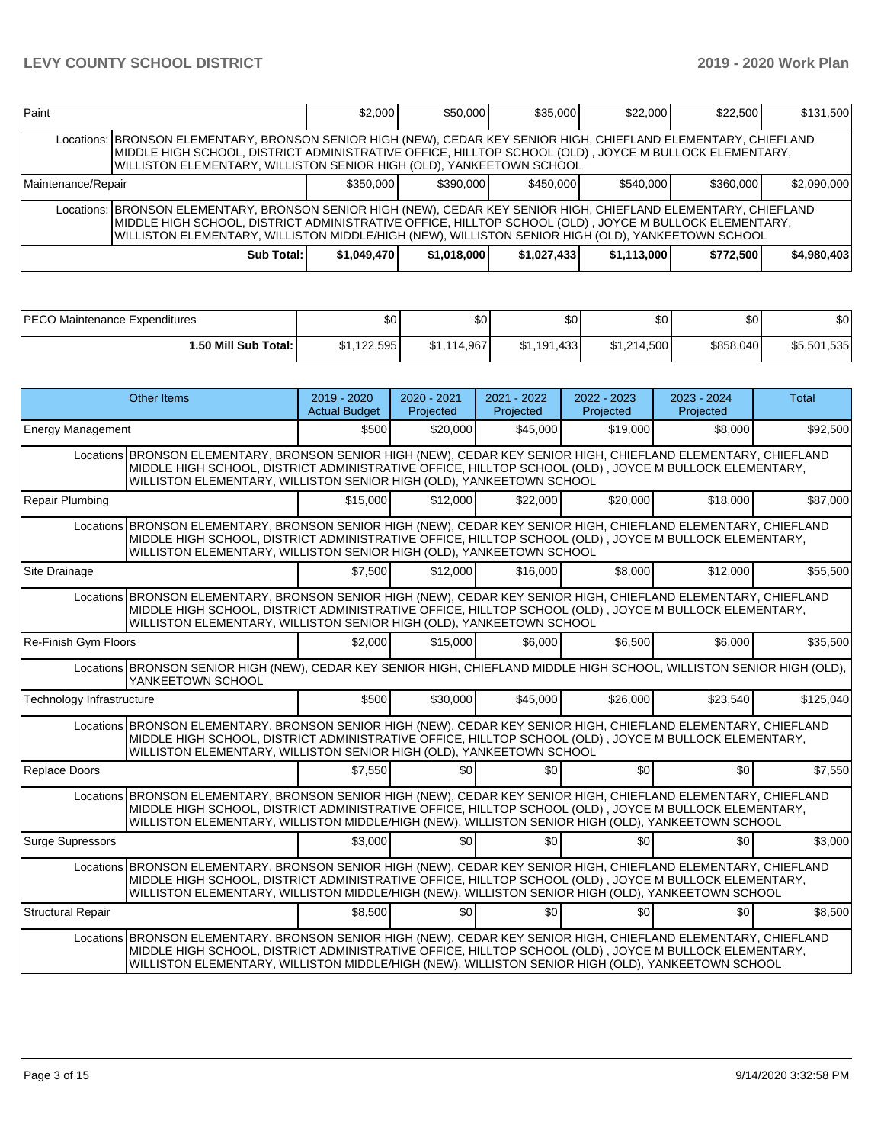| Paint                                                                                                                                                                                                                                                                                                                           |                                                                                                                                                                                                                                                                                                    | \$2.000   | \$50,000  | \$35,000  | \$22,000  | \$22,500  | \$131,500   |  |  |  |
|---------------------------------------------------------------------------------------------------------------------------------------------------------------------------------------------------------------------------------------------------------------------------------------------------------------------------------|----------------------------------------------------------------------------------------------------------------------------------------------------------------------------------------------------------------------------------------------------------------------------------------------------|-----------|-----------|-----------|-----------|-----------|-------------|--|--|--|
|                                                                                                                                                                                                                                                                                                                                 | Locations: BRONSON ELEMENTARY, BRONSON SENIOR HIGH (NEW), CEDAR KEY SENIOR HIGH, CHIEFLAND ELEMENTARY, CHIEFLAND<br>MIDDLE HIGH SCHOOL, DISTRICT ADMINISTRATIVE OFFICE, HILLTOP SCHOOL (OLD) , JOYCE M BULLOCK ELEMENTARY,<br>WILLISTON ELEMENTARY, WILLISTON SENIOR HIGH (OLD), YANKEETOWN SCHOOL |           |           |           |           |           |             |  |  |  |
| Maintenance/Repair                                                                                                                                                                                                                                                                                                              |                                                                                                                                                                                                                                                                                                    | \$350,000 | \$390,000 | \$450,000 | \$540,000 | \$360,000 | \$2,090,000 |  |  |  |
| Locations: BRONSON ELEMENTARY, BRONSON SENIOR HIGH (NEW), CEDAR KEY SENIOR HIGH, CHIEFLAND ELEMENTARY, CHIEFLAND<br>MIDDLE HIGH SCHOOL, DISTRICT ADMINISTRATIVE OFFICE, HILLTOP SCHOOL (OLD) , JOYCE M BULLOCK ELEMENTARY,<br>WILLISTON ELEMENTARY, WILLISTON MIDDLE/HIGH (NEW), WILLISTON SENIOR HIGH (OLD), YANKEETOWN SCHOOL |                                                                                                                                                                                                                                                                                                    |           |           |           |           |           |             |  |  |  |
| \$4.980.403]<br>Sub Total:<br>\$1,049,470<br>\$1,018,000<br>\$772.500<br>\$1,027,433<br>\$1,113,000                                                                                                                                                                                                                             |                                                                                                                                                                                                                                                                                                    |           |           |           |           |           |             |  |  |  |

| PECO Maintenance Expenditures | ሖ<br>υU     | \$0         | Φn<br>Ψ∪    | \$0         | \$0 <sub>1</sub> | no.<br>ו שפ     |
|-------------------------------|-------------|-------------|-------------|-------------|------------------|-----------------|
| <b>.50 Mill Sub Total:</b>    | \$1,122,595 | \$1.114.967 | \$1.191.433 | \$1.214.500 | \$858,040        | .535<br>\$5.501 |

|                                                                                                                                             | <b>Other Items</b>                                                                                                                                                                                                                                                                                                            | 2019 - 2020<br><b>Actual Budget</b> | $2020 - 2021$<br>Projected | 2021 - 2022<br>Projected | 2022 - 2023<br>Projected | 2023 - 2024<br>Projected | <b>Total</b> |  |  |
|---------------------------------------------------------------------------------------------------------------------------------------------|-------------------------------------------------------------------------------------------------------------------------------------------------------------------------------------------------------------------------------------------------------------------------------------------------------------------------------|-------------------------------------|----------------------------|--------------------------|--------------------------|--------------------------|--------------|--|--|
| Energy Management                                                                                                                           |                                                                                                                                                                                                                                                                                                                               | \$500                               | \$20,000                   | \$45,000                 | \$19,000                 | \$8,000                  | \$92,500     |  |  |
|                                                                                                                                             | Locations BRONSON ELEMENTARY, BRONSON SENIOR HIGH (NEW), CEDAR KEY SENIOR HIGH, CHIEFLAND ELEMENTARY, CHIEFLAND<br>MIDDLE HIGH SCHOOL, DISTRICT ADMINISTRATIVE OFFICE, HILLTOP SCHOOL (OLD), JOYCE M BULLOCK ELEMENTARY,<br>WILLISTON ELEMENTARY, WILLISTON SENIOR HIGH (OLD), YANKEETOWN SCHOOL                              |                                     |                            |                          |                          |                          |              |  |  |
| Repair Plumbing                                                                                                                             |                                                                                                                                                                                                                                                                                                                               | \$15,000                            | \$12,000                   | \$22,000                 | \$20,000                 | \$18,000                 | \$87,000     |  |  |
|                                                                                                                                             | Locations BRONSON ELEMENTARY, BRONSON SENIOR HIGH (NEW), CEDAR KEY SENIOR HIGH, CHIEFLAND ELEMENTARY, CHIEFLAND<br>MIDDLE HIGH SCHOOL, DISTRICT ADMINISTRATIVE OFFICE, HILLTOP SCHOOL (OLD), JOYCE M BULLOCK ELEMENTARY,<br>WILLISTON ELEMENTARY, WILLISTON SENIOR HIGH (OLD), YANKEETOWN SCHOOL                              |                                     |                            |                          |                          |                          |              |  |  |
| Site Drainage                                                                                                                               |                                                                                                                                                                                                                                                                                                                               | \$7.500                             | \$12,000                   | \$16,000                 | \$8,000                  | \$12,000                 | \$55,500     |  |  |
|                                                                                                                                             | Locations BRONSON ELEMENTARY, BRONSON SENIOR HIGH (NEW), CEDAR KEY SENIOR HIGH, CHIEFLAND ELEMENTARY, CHIEFLAND<br>MIDDLE HIGH SCHOOL, DISTRICT ADMINISTRATIVE OFFICE, HILLTOP SCHOOL (OLD), JOYCE M BULLOCK ELEMENTARY,<br>WILLISTON ELEMENTARY, WILLISTON SENIOR HIGH (OLD), YANKEETOWN SCHOOL                              |                                     |                            |                          |                          |                          |              |  |  |
| Re-Finish Gym Floors                                                                                                                        |                                                                                                                                                                                                                                                                                                                               | \$2.000                             | \$15,000                   | \$6.000                  | \$6.500                  | \$6.000                  | \$35,500     |  |  |
| Locations BRONSON SENIOR HIGH (NEW), CEDAR KEY SENIOR HIGH, CHIEFLAND MIDDLE HIGH SCHOOL, WILLISTON SENIOR HIGH (OLD),<br>YANKEETOWN SCHOOL |                                                                                                                                                                                                                                                                                                                               |                                     |                            |                          |                          |                          |              |  |  |
| Technology Infrastructure                                                                                                                   |                                                                                                                                                                                                                                                                                                                               | \$500                               | \$30,000                   | \$45,000                 | \$26,000                 | \$23.540                 | \$125.040    |  |  |
|                                                                                                                                             | Locations BRONSON ELEMENTARY, BRONSON SENIOR HIGH (NEW), CEDAR KEY SENIOR HIGH, CHIEFLAND ELEMENTARY, CHIEFLAND<br>MIDDLE HIGH SCHOOL, DISTRICT ADMINISTRATIVE OFFICE, HILLTOP SCHOOL (OLD), JOYCE M BULLOCK ELEMENTARY,<br>WILLISTON ELEMENTARY, WILLISTON SENIOR HIGH (OLD), YANKEETOWN SCHOOL                              |                                     |                            |                          |                          |                          |              |  |  |
| <b>Replace Doors</b>                                                                                                                        |                                                                                                                                                                                                                                                                                                                               | \$7.550                             | \$01                       | \$0                      | \$0                      | \$0                      | \$7,550      |  |  |
|                                                                                                                                             | Locations BRONSON ELEMENTARY, BRONSON SENIOR HIGH (NEW), CEDAR KEY SENIOR HIGH, CHIEFLAND ELEMENTARY, CHIEFLAND<br>MIDDLE HIGH SCHOOL, DISTRICT ADMINISTRATIVE OFFICE, HILLTOP SCHOOL (OLD), JOYCE M BULLOCK ELEMENTARY,<br>WILLISTON ELEMENTARY, WILLISTON MIDDLE/HIGH (NEW), WILLISTON SENIOR HIGH (OLD), YANKEETOWN SCHOOL |                                     |                            |                          |                          |                          |              |  |  |
| Surge Supressors                                                                                                                            |                                                                                                                                                                                                                                                                                                                               | \$3,000                             | \$0                        | \$0                      | \$0                      | \$0                      | \$3,000      |  |  |
|                                                                                                                                             | Locations BRONSON ELEMENTARY, BRONSON SENIOR HIGH (NEW), CEDAR KEY SENIOR HIGH, CHIEFLAND ELEMENTARY, CHIEFLAND<br>MIDDLE HIGH SCHOOL, DISTRICT ADMINISTRATIVE OFFICE, HILLTOP SCHOOL (OLD), JOYCE M BULLOCK ELEMENTARY,<br>WILLISTON ELEMENTARY, WILLISTON MIDDLE/HIGH (NEW), WILLISTON SENIOR HIGH (OLD), YANKEETOWN SCHOOL |                                     |                            |                          |                          |                          |              |  |  |
| Structural Repair                                                                                                                           |                                                                                                                                                                                                                                                                                                                               | \$8.500                             | \$01                       | \$0                      | \$0                      | \$0                      | \$8,500      |  |  |
|                                                                                                                                             | Locations BRONSON ELEMENTARY, BRONSON SENIOR HIGH (NEW), CEDAR KEY SENIOR HIGH, CHIEFLAND ELEMENTARY, CHIEFLAND<br>MIDDLE HIGH SCHOOL, DISTRICT ADMINISTRATIVE OFFICE, HILLTOP SCHOOL (OLD), JOYCE M BULLOCK ELEMENTARY.<br>WILLISTON ELEMENTARY, WILLISTON MIDDLE/HIGH (NEW), WILLISTON SENIOR HIGH (OLD), YANKEETOWN SCHOOL |                                     |                            |                          |                          |                          |              |  |  |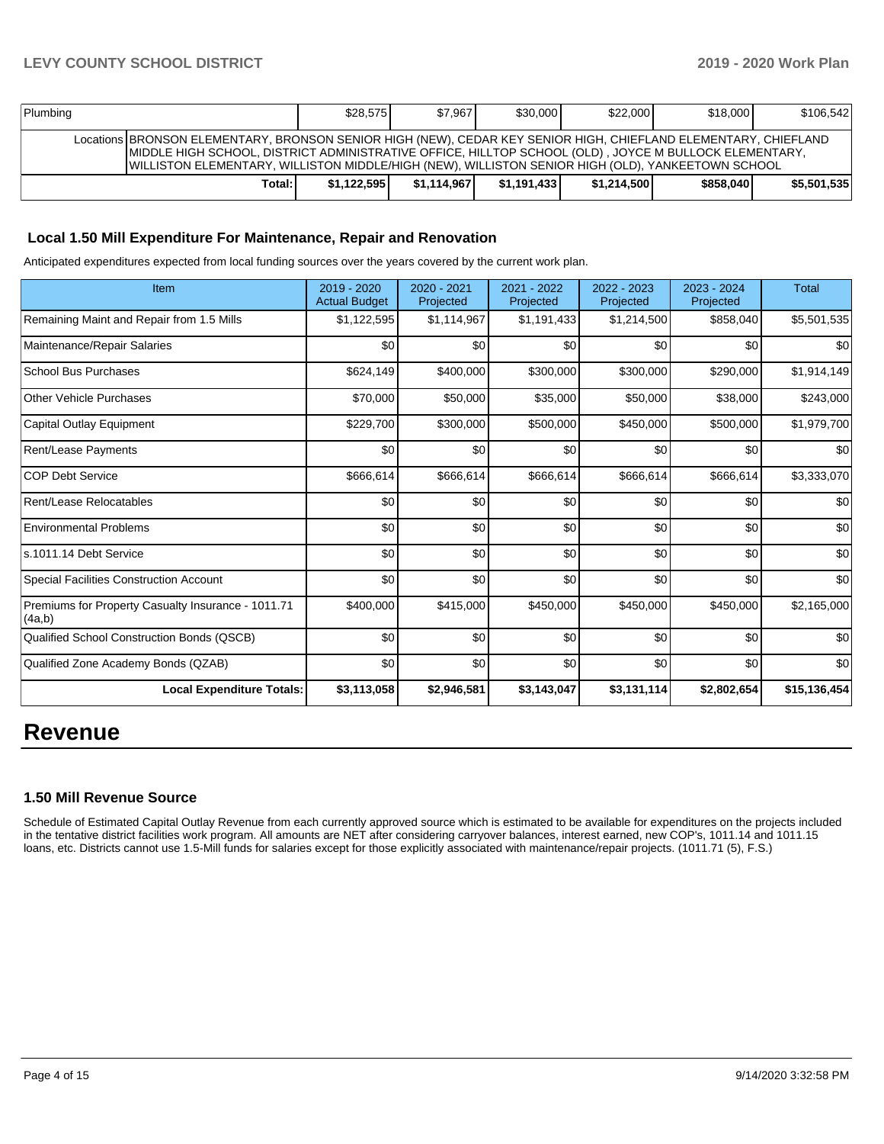| Plumbing                                                                                                                                                                                                                                                                                                                        | \$28.575    | \$7.9671    | \$30,000    | \$22,000    | \$18,000  | \$106,542   |
|---------------------------------------------------------------------------------------------------------------------------------------------------------------------------------------------------------------------------------------------------------------------------------------------------------------------------------|-------------|-------------|-------------|-------------|-----------|-------------|
| Locations BRONSON ELEMENTARY, BRONSON SENIOR HIGH (NEW), CEDAR KEY SENIOR HIGH, CHIEFLAND ELEMENTARY, CHIEFLAND<br>IMIDDLE HIGH SCHOOL, DISTRICT ADMINISTRATIVE OFFICE, HILLTOP SCHOOL (OLD), JOYCE M BULLOCK ELEMENTARY,<br>IWILLISTON ELEMENTARY, WILLISTON MIDDLE/HIGH (NEW), WILLISTON SENIOR HIGH (OLD), YANKEETOWN SCHOOL |             |             |             |             |           |             |
| Total:                                                                                                                                                                                                                                                                                                                          | \$1.122.595 | \$1.114.967 | \$1.191.433 | \$1.214.500 | \$858,040 | \$5.501.535 |

#### **Local 1.50 Mill Expenditure For Maintenance, Repair and Renovation**

Anticipated expenditures expected from local funding sources over the years covered by the current work plan.

| Item                                                         | $2019 - 2020$<br><b>Actual Budget</b> | $2020 - 2021$<br>Projected | 2021 - 2022<br>Projected | 2022 - 2023<br>Projected | $2023 - 2024$<br>Projected | <b>Total</b> |
|--------------------------------------------------------------|---------------------------------------|----------------------------|--------------------------|--------------------------|----------------------------|--------------|
| Remaining Maint and Repair from 1.5 Mills                    | \$1,122,595                           | \$1,114,967                | \$1,191,433              | \$1,214,500              | \$858,040                  | \$5,501,535  |
| Maintenance/Repair Salaries                                  | \$0                                   | \$0                        | \$0                      | \$0                      | \$0                        | \$0          |
| <b>School Bus Purchases</b>                                  | \$624,149                             | \$400,000                  | \$300,000                | \$300,000                | \$290,000                  | \$1,914,149  |
| <b>Other Vehicle Purchases</b>                               | \$70,000                              | \$50,000                   | \$35,000                 | \$50,000                 | \$38,000                   | \$243,000    |
| Capital Outlay Equipment                                     | \$229,700                             | \$300,000                  | \$500,000                | \$450,000                | \$500,000                  | \$1,979,700  |
| Rent/Lease Payments                                          | \$0                                   | \$0                        | \$0                      | \$0                      | \$0                        | \$0          |
| <b>COP Debt Service</b>                                      | \$666,614                             | \$666,614                  | \$666,614                | \$666,614                | \$666,614                  | \$3,333,070  |
| Rent/Lease Relocatables                                      | \$0                                   | \$0                        | \$0                      | \$0                      | \$0                        | \$0          |
| <b>Environmental Problems</b>                                | \$0                                   | \$0                        | \$0                      | \$0                      | \$0                        | \$0          |
| ls.1011.14 Debt Service                                      | \$0                                   | \$0                        | \$0                      | \$0                      | \$0                        | \$0          |
| <b>Special Facilities Construction Account</b>               | \$0                                   | \$0                        | \$0                      | \$0                      | \$0                        | \$0          |
| Premiums for Property Casualty Insurance - 1011.71<br>(4a,b) | \$400,000                             | \$415,000                  | \$450,000                | \$450,000                | \$450,000                  | \$2,165,000  |
| Qualified School Construction Bonds (QSCB)                   | \$0                                   | \$0                        | \$0                      | \$0                      | \$0                        | \$0          |
| Qualified Zone Academy Bonds (QZAB)                          | \$0                                   | \$0                        | \$0                      | \$0                      | \$0                        | \$0          |
| <b>Local Expenditure Totals:</b>                             | \$3,113,058                           | \$2,946,581                | \$3,143,047              | \$3,131,114              | \$2,802,654                | \$15,136,454 |

## **Revenue**

#### **1.50 Mill Revenue Source**

Schedule of Estimated Capital Outlay Revenue from each currently approved source which is estimated to be available for expenditures on the projects included in the tentative district facilities work program. All amounts are NET after considering carryover balances, interest earned, new COP's, 1011.14 and 1011.15 loans, etc. Districts cannot use 1.5-Mill funds for salaries except for those explicitly associated with maintenance/repair projects. (1011.71 (5), F.S.)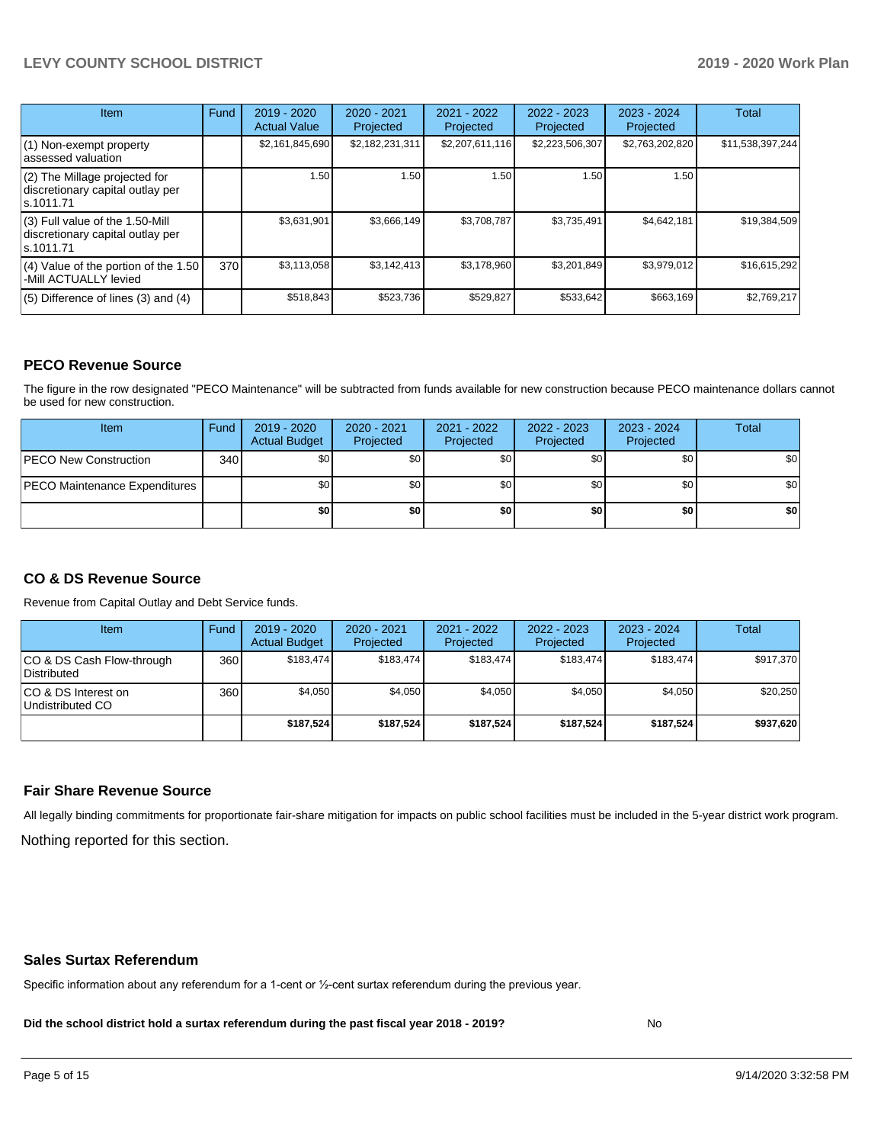#### **LEVY COUNTY SCHOOL DISTRICT 2019 - 2020 Work Plan**

| <b>Item</b>                                                                       | Fund | $2019 - 2020$<br><b>Actual Value</b> | 2020 - 2021<br>Projected | 2021 - 2022<br>Projected | $2022 - 2023$<br>Projected | $2023 - 2024$<br>Projected | Total            |
|-----------------------------------------------------------------------------------|------|--------------------------------------|--------------------------|--------------------------|----------------------------|----------------------------|------------------|
| $(1)$ Non-exempt property<br>lassessed valuation                                  |      | \$2,161,845,690                      | \$2,182,231,311          | \$2,207,611,116          | \$2,223,506,307            | \$2,763,202,820            | \$11,538,397,244 |
| (2) The Millage projected for<br>discretionary capital outlay per<br>ls.1011.71   |      | 1.50                                 | 1.50                     | 1.50                     | 1.50                       | 1.50                       |                  |
| (3) Full value of the 1.50-Mill<br>discretionary capital outlay per<br>ls.1011.71 |      | \$3,631,901                          | \$3,666,149              | \$3,708,787              | \$3,735,491                | \$4,642,181                | \$19,384,509     |
| $(4)$ Value of the portion of the 1.50<br>-Mill ACTUALLY levied                   | 370I | \$3,113,058                          | \$3,142,413              | \$3,178,960              | \$3,201,849                | \$3,979,012                | \$16,615,292     |
| $(5)$ Difference of lines $(3)$ and $(4)$                                         |      | \$518,843                            | \$523,736                | \$529,827                | \$533,642                  | \$663,169                  | \$2,769,217      |

#### **PECO Revenue Source**

The figure in the row designated "PECO Maintenance" will be subtracted from funds available for new construction because PECO maintenance dollars cannot be used for new construction.

| Item                                 | Fund | 2019 - 2020<br><b>Actual Budget</b> | 2020 - 2021<br>Projected | 2021 - 2022<br>Projected | $2022 - 2023$<br>Projected | 2023 - 2024<br>Projected | <b>Total</b>     |
|--------------------------------------|------|-------------------------------------|--------------------------|--------------------------|----------------------------|--------------------------|------------------|
| <b>IPECO New Construction</b>        | 340  | \$0                                 | \$0                      | \$0                      | \$0                        | \$0                      | \$0 <sub>1</sub> |
| <b>PECO Maintenance Expenditures</b> |      | \$0                                 | \$0                      | \$0                      | \$0 <sub>1</sub>           | \$0                      | \$0 <sub>1</sub> |
|                                      |      | \$0                                 | \$0                      | \$0                      | \$0                        | \$0                      | \$0              |

#### **CO & DS Revenue Source**

Revenue from Capital Outlay and Debt Service funds.

| Item                                      | Fund  | $2019 - 2020$<br><b>Actual Budget</b> | 2020 - 2021<br>Projected | 2021 - 2022<br>Projected | $2022 - 2023$<br>Projected | $2023 - 2024$<br>Projected | <b>Total</b> |
|-------------------------------------------|-------|---------------------------------------|--------------------------|--------------------------|----------------------------|----------------------------|--------------|
| ICO & DS Cash Flow-through<br>Distributed | 360 l | \$183.474                             | \$183.474                | \$183.474                | \$183.474                  | \$183.474                  | \$917.370    |
| ICO & DS Interest on<br>Undistributed CO  | 360   | \$4.050                               | \$4.050                  | \$4.050                  | \$4.050                    | \$4,050                    | \$20,250     |
|                                           |       | \$187.524                             | \$187.524                | \$187.524                | \$187.524                  | \$187.524                  | \$937,620    |

#### **Fair Share Revenue Source**

Nothing reported for this section. All legally binding commitments for proportionate fair-share mitigation for impacts on public school facilities must be included in the 5-year district work program.

#### **Sales Surtax Referendum**

Specific information about any referendum for a 1-cent or ½-cent surtax referendum during the previous year.

**Did the school district hold a surtax referendum during the past fiscal year 2018 - 2019?**

No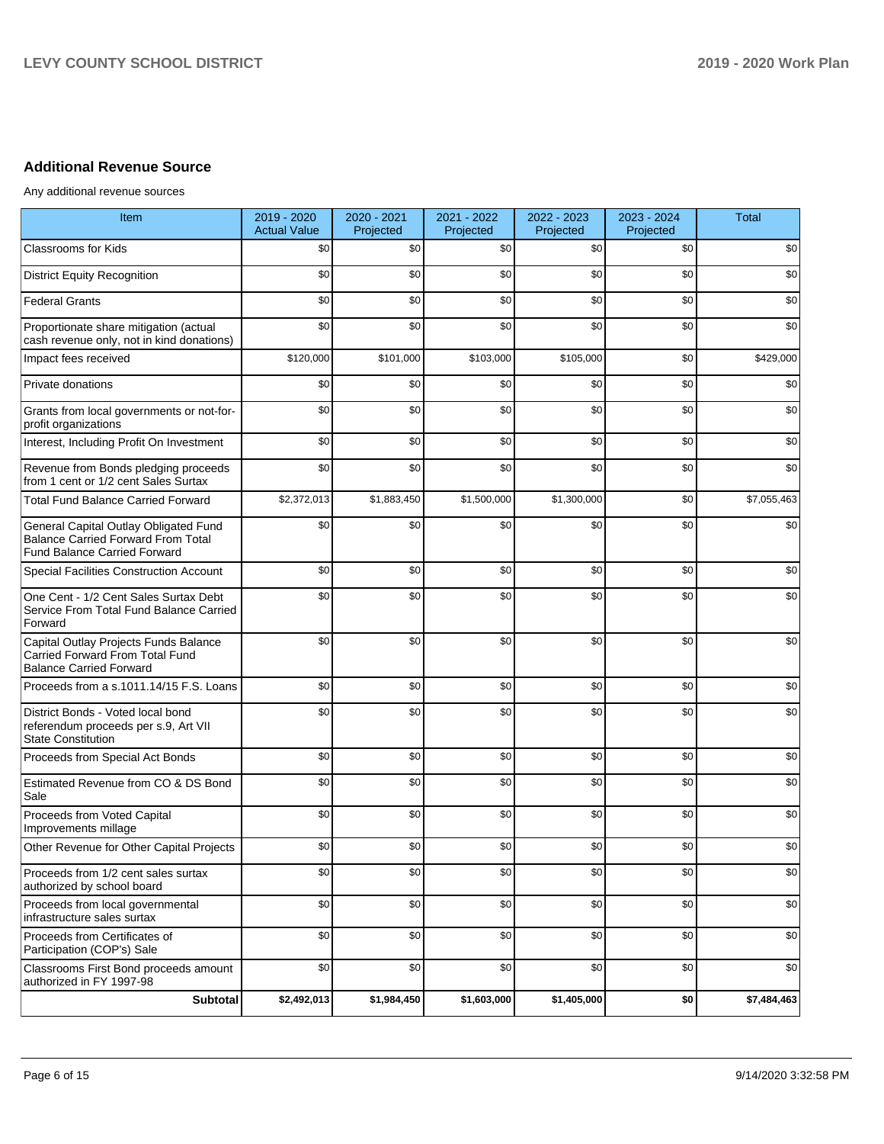### **Additional Revenue Source**

Any additional revenue sources

| Item                                                                                                               | 2019 - 2020<br><b>Actual Value</b> | 2020 - 2021<br>Projected | 2021 - 2022<br>Projected | 2022 - 2023<br>Projected | 2023 - 2024<br>Projected | Total       |
|--------------------------------------------------------------------------------------------------------------------|------------------------------------|--------------------------|--------------------------|--------------------------|--------------------------|-------------|
| <b>Classrooms for Kids</b>                                                                                         | \$0                                | \$0                      | \$0                      | \$0                      | \$0                      | \$0         |
| <b>District Equity Recognition</b>                                                                                 | \$0                                | \$0                      | \$0                      | \$0                      | \$0                      | \$0         |
| <b>Federal Grants</b>                                                                                              | \$0                                | \$0                      | \$0                      | \$0                      | \$0                      | \$0         |
| Proportionate share mitigation (actual<br>cash revenue only, not in kind donations)                                | \$0                                | \$0                      | \$0                      | \$0                      | \$0                      | \$0         |
| Impact fees received                                                                                               | \$120,000                          | \$101,000                | \$103,000                | \$105,000                | \$0                      | \$429,000   |
| Private donations                                                                                                  | \$0                                | \$0                      | \$0                      | \$0                      | \$0                      | \$0         |
| Grants from local governments or not-for-<br>profit organizations                                                  | \$0                                | \$0                      | \$0                      | \$0                      | \$0                      | \$0         |
| Interest, Including Profit On Investment                                                                           | \$0                                | \$0                      | \$0                      | \$0                      | \$0                      | \$0         |
| Revenue from Bonds pledging proceeds<br>from 1 cent or 1/2 cent Sales Surtax                                       | \$0                                | \$0                      | \$0                      | \$0                      | \$0                      | \$0         |
| Total Fund Balance Carried Forward                                                                                 | \$2,372,013                        | \$1,883,450              | \$1,500,000              | \$1,300,000              | \$0                      | \$7,055,463 |
| General Capital Outlay Obligated Fund<br>Balance Carried Forward From Total<br><b>Fund Balance Carried Forward</b> | \$0                                | \$0                      | \$0                      | \$0                      | \$0                      | \$0         |
| Special Facilities Construction Account                                                                            | \$0                                | \$0                      | \$0                      | \$0                      | \$0                      | \$0         |
| One Cent - 1/2 Cent Sales Surtax Debt<br>Service From Total Fund Balance Carried<br>Forward                        | \$0                                | \$0                      | \$0                      | \$0                      | \$0                      | \$0         |
| Capital Outlay Projects Funds Balance<br>Carried Forward From Total Fund<br><b>Balance Carried Forward</b>         | \$0                                | \$0                      | \$0                      | \$0                      | \$0                      | \$0         |
| Proceeds from a s.1011.14/15 F.S. Loans                                                                            | \$0                                | \$0                      | \$0                      | \$0                      | \$0                      | \$0         |
| District Bonds - Voted local bond<br>referendum proceeds per s.9, Art VII<br><b>State Constitution</b>             | \$0                                | \$0                      | \$0                      | \$0                      | \$0                      | \$0         |
| Proceeds from Special Act Bonds                                                                                    | \$0                                | \$0                      | \$0                      | \$0                      | \$0                      | \$0         |
| Estimated Revenue from CO & DS Bond<br>Sale                                                                        | \$0                                | \$0                      | \$0                      | \$0                      | \$0                      | \$0         |
| Proceeds from Voted Capital<br>Improvements millage                                                                | \$0                                | \$0                      | \$0                      | \$0                      | \$0                      | \$0         |
| Other Revenue for Other Capital Projects                                                                           | \$0                                | \$0                      | \$0                      | \$0                      | \$0                      | \$0         |
| Proceeds from 1/2 cent sales surtax<br>authorized by school board                                                  | \$0                                | \$0                      | \$0                      | \$0                      | \$0                      | \$0         |
| Proceeds from local governmental<br>infrastructure sales surtax                                                    | \$0                                | \$0                      | \$0                      | \$0                      | \$0                      | \$0         |
| Proceeds from Certificates of<br>Participation (COP's) Sale                                                        | \$0                                | \$0                      | \$0                      | \$0                      | \$0                      | \$0         |
| Classrooms First Bond proceeds amount<br>authorized in FY 1997-98                                                  | \$0                                | \$0                      | \$0                      | \$0                      | \$0                      | \$0         |
| Subtotal                                                                                                           | \$2,492,013                        | \$1,984,450              | \$1,603,000              | \$1,405,000              | \$0                      | \$7,484,463 |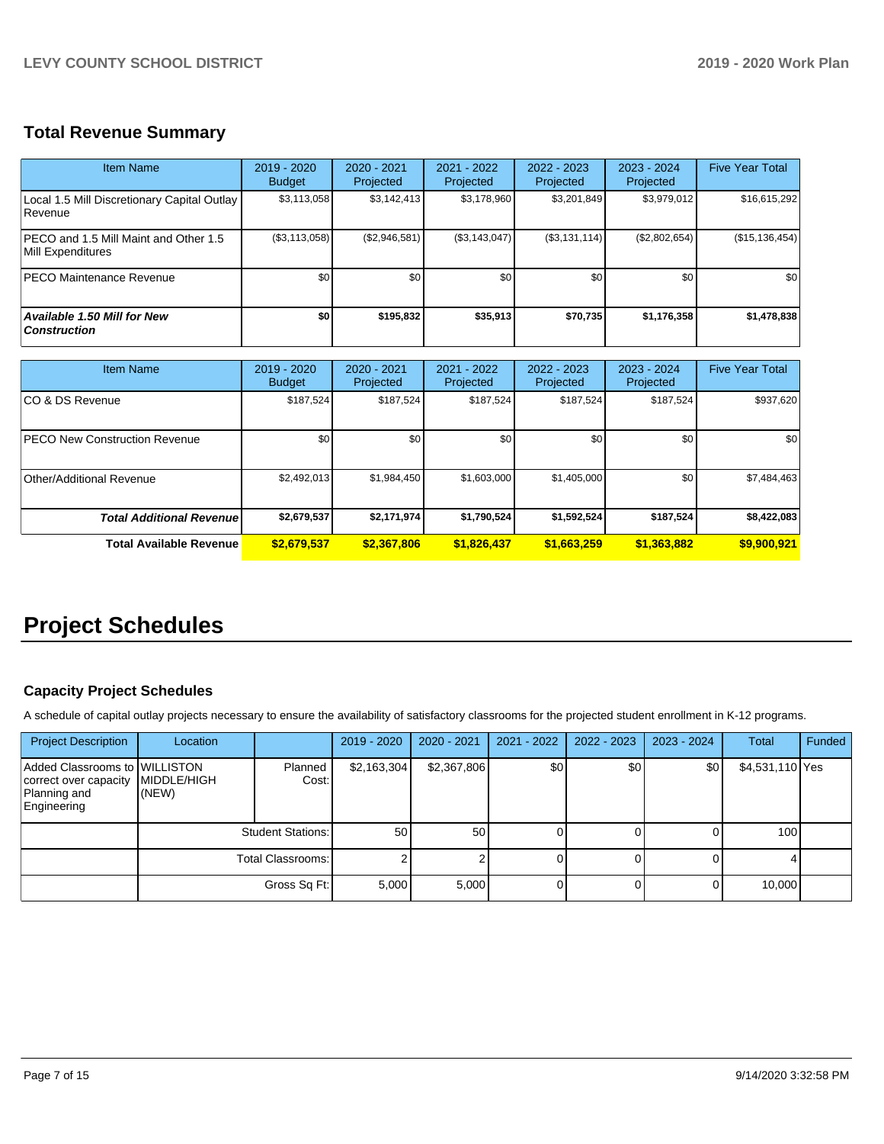## **Total Revenue Summary**

| <b>Item Name</b>                                              | 2019 - 2020<br><b>Budget</b> | 2020 - 2021<br>Projected | 2021 - 2022<br><b>Projected</b> | 2022 - 2023<br>Projected | $2023 - 2024$<br>Projected | <b>Five Year Total</b> |
|---------------------------------------------------------------|------------------------------|--------------------------|---------------------------------|--------------------------|----------------------------|------------------------|
| Local 1.5 Mill Discretionary Capital Outlay<br><b>Revenue</b> | \$3,113,058                  | \$3,142,413              | \$3,178,960                     | \$3,201,849              | \$3,979,012                | \$16,615,292           |
| IPECO and 1.5 Mill Maint and Other 1.5<br>Mill Expenditures   | (\$3,113,058)                | (\$2,946,581)            | (\$3,143,047)                   | (\$3,131,114)            | (\$2,802,654)              | (\$15, 136, 454)       |
| <b>PECO Maintenance Revenue</b>                               | \$0                          | \$0                      | \$0                             | \$0                      | \$0                        | \$0                    |
| <b>Available 1.50 Mill for New</b><br><b>Construction</b>     | \$0                          | \$195.832                | \$35,913                        | \$70,735                 | \$1,176,358                | \$1,478,838            |

| <b>Item Name</b>                     | 2019 - 2020<br><b>Budget</b> | 2020 - 2021<br>Projected | 2021 - 2022<br>Projected | 2022 - 2023<br>Projected | 2023 - 2024<br>Projected | <b>Five Year Total</b> |
|--------------------------------------|------------------------------|--------------------------|--------------------------|--------------------------|--------------------------|------------------------|
| ICO & DS Revenue                     | \$187,524                    | \$187,524                | \$187,524                | \$187,524                | \$187,524                | \$937,620              |
| <b>PECO New Construction Revenue</b> | \$0                          | \$0 <sub>1</sub>         | \$0                      | \$0                      | \$0                      | \$0                    |
| Other/Additional Revenue             | \$2,492,013                  | \$1,984,450              | \$1,603,000              | \$1,405,000              | \$0                      | \$7,484,463            |
| <b>Total Additional Revenuel</b>     | \$2,679,537                  | \$2,171,974              | \$1,790,524              | \$1,592,524              | \$187,524                | \$8,422,083            |
| Total Available Revenue              | \$2,679,537                  | \$2,367,806              | \$1,826,437              | \$1,663,259              | \$1,363,882              | \$9,900,921            |

## **Project Schedules**

#### **Capacity Project Schedules**

A schedule of capital outlay projects necessary to ensure the availability of satisfactory classrooms for the projected student enrollment in K-12 programs.

| <b>Project Description</b>                                                            | Location                     |                          | 2019 - 2020 | $2020 - 2021$ | $2021 - 2022$ | $2022 - 2023$ | 2023 - 2024 | Total           | Funded |
|---------------------------------------------------------------------------------------|------------------------------|--------------------------|-------------|---------------|---------------|---------------|-------------|-----------------|--------|
| Added Classrooms to WILLISTON<br>correct over capacity<br>Planning and<br>Engineering | <b>IMIDDLE/HIGH</b><br>(NEW) | Planned<br>Cost:         | \$2,163,304 | \$2,367,806   | \$0           | \$0           | \$0         | \$4,531,110 Yes |        |
|                                                                                       |                              | <b>Student Stations:</b> | 50          | 50            |               |               |             | 100             |        |
|                                                                                       |                              | Total Classrooms:        |             |               |               |               |             |                 |        |
|                                                                                       |                              | Gross Sq Ft:             | 5,000       | 5,000         |               |               |             | 10,000          |        |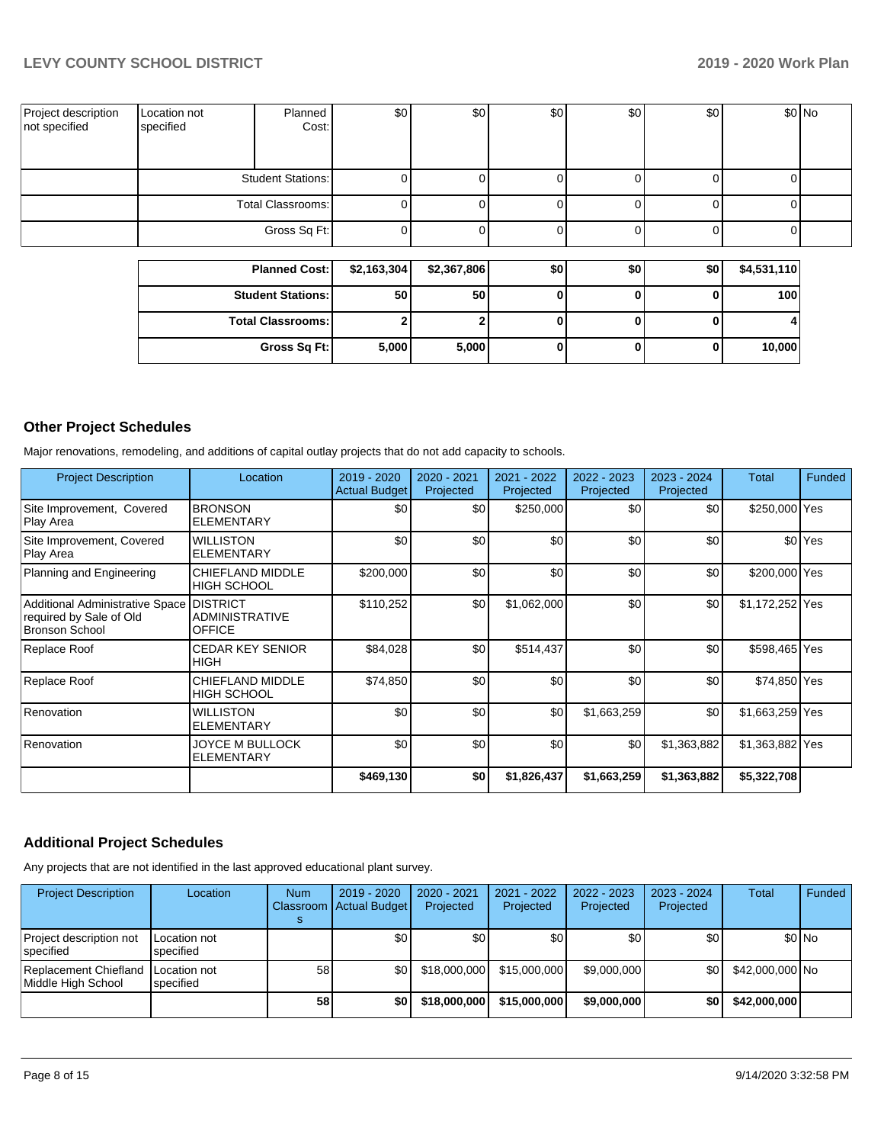| Project description<br>not specified | Location not<br>specified | Planned<br>Cost:         | \$0 | \$0 | \$0 | \$0 | \$0 | \$0 No |
|--------------------------------------|---------------------------|--------------------------|-----|-----|-----|-----|-----|--------|
|                                      |                           | <b>Student Stations:</b> |     |     |     |     |     |        |
|                                      |                           | Total Classrooms:        |     |     |     |     |     |        |
|                                      |                           | Gross Sq Ft:             |     |     |     |     |     |        |
|                                      |                           |                          |     |     |     |     |     |        |

| <b>Planned Cost:</b>       | \$2,163,304 | \$2,367,806 | \$0 | \$0 | \$0 | \$4,531,110 |
|----------------------------|-------------|-------------|-----|-----|-----|-------------|
| <b>Student Stations:</b>   | 50          | 50          |     |     |     | 100         |
| <b>Total Classrooms: I</b> |             |             |     |     |     |             |
| Gross Sq Ft:               | 5,000       | 5,000       |     |     |     | 10,000      |

### **Other Project Schedules**

Major renovations, remodeling, and additions of capital outlay projects that do not add capacity to schools.

| <b>Project Description</b>                                                          | Location                                                  | 2019 - 2020<br><b>Actual Budget</b> | 2020 - 2021<br>Projected | 2021 - 2022<br>Projected | 2022 - 2023<br>Projected | 2023 - 2024<br>Projected | <b>Total</b>    | <b>Funded</b>      |
|-------------------------------------------------------------------------------------|-----------------------------------------------------------|-------------------------------------|--------------------------|--------------------------|--------------------------|--------------------------|-----------------|--------------------|
| Site Improvement, Covered<br>Play Area                                              | <b>BRONSON</b><br><b>ELEMENTARY</b>                       | \$0                                 | \$0                      | \$250,000                | \$0                      | \$0                      | \$250,000 Yes   |                    |
| Site Improvement, Covered<br>Play Area                                              | <b>WILLISTON</b><br><b>ELEMENTARY</b>                     | \$0                                 | \$0                      | \$0                      | \$0                      | \$0                      |                 | \$0 <sup>Yes</sup> |
| Planning and Engineering                                                            | CHIEFLAND MIDDLE<br><b>HIGH SCHOOL</b>                    | \$200,000                           | \$0                      | \$0                      | \$0                      | \$0                      | \$200,000 Yes   |                    |
| Additional Administrative Space<br>required by Sale of Old<br><b>Bronson School</b> | <b>DISTRICT</b><br><b>ADMINISTRATIVE</b><br><b>OFFICE</b> | \$110,252                           | \$0                      | \$1,062,000              | \$0                      | \$0                      | \$1,172,252 Yes |                    |
| Replace Roof                                                                        | <b>CEDAR KEY SENIOR</b><br><b>HIGH</b>                    | \$84,028                            | \$0                      | \$514,437                | \$0                      | \$0                      | \$598,465 Yes   |                    |
| Replace Roof                                                                        | CHIEFLAND MIDDLE<br><b>HIGH SCHOOL</b>                    | \$74,850                            | \$0                      | \$0                      | \$0                      | \$0                      | \$74,850 Yes    |                    |
| Renovation                                                                          | <b>WILLISTON</b><br><b>ELEMENTARY</b>                     | \$0                                 | \$0                      | \$0                      | \$1,663,259              | \$0                      | \$1,663,259 Yes |                    |
| Renovation                                                                          | JOYCE M BULLOCK<br><b>ELEMENTARY</b>                      | \$0                                 | \$0                      | \$0                      | \$0                      | \$1,363,882              | \$1,363,882 Yes |                    |
|                                                                                     |                                                           | \$469,130                           | \$0                      | \$1,826,437              | \$1,663,259              | \$1,363,882              | \$5,322,708     |                    |

#### **Additional Project Schedules**

Any projects that are not identified in the last approved educational plant survey.

| <b>Project Description</b>                  | Location                  | Num | 2019 - 2020<br>Classroom Actual Budget | 2020 - 2021<br>Projected | 2021 - 2022<br>Projected | $2022 - 2023$<br>Projected | $2023 - 2024$<br>Projected | Total           | Funded |
|---------------------------------------------|---------------------------|-----|----------------------------------------|--------------------------|--------------------------|----------------------------|----------------------------|-----------------|--------|
| Project description not<br>specified        | Location not<br>specified |     | \$0                                    | ا 30                     | \$0                      | ا 30                       | \$0                        |                 | \$0 No |
| Replacement Chiefland<br>Middle High School | Location not<br>specified | 58  | \$0 <sub>1</sub>                       | \$18,000,000             | \$15,000,000             | \$9,000,000                | \$0                        | \$42,000,000 No |        |
|                                             |                           | 58  | \$0                                    | \$18,000,000             | \$15,000,000             | \$9,000,000                | \$0                        | \$42,000,000    |        |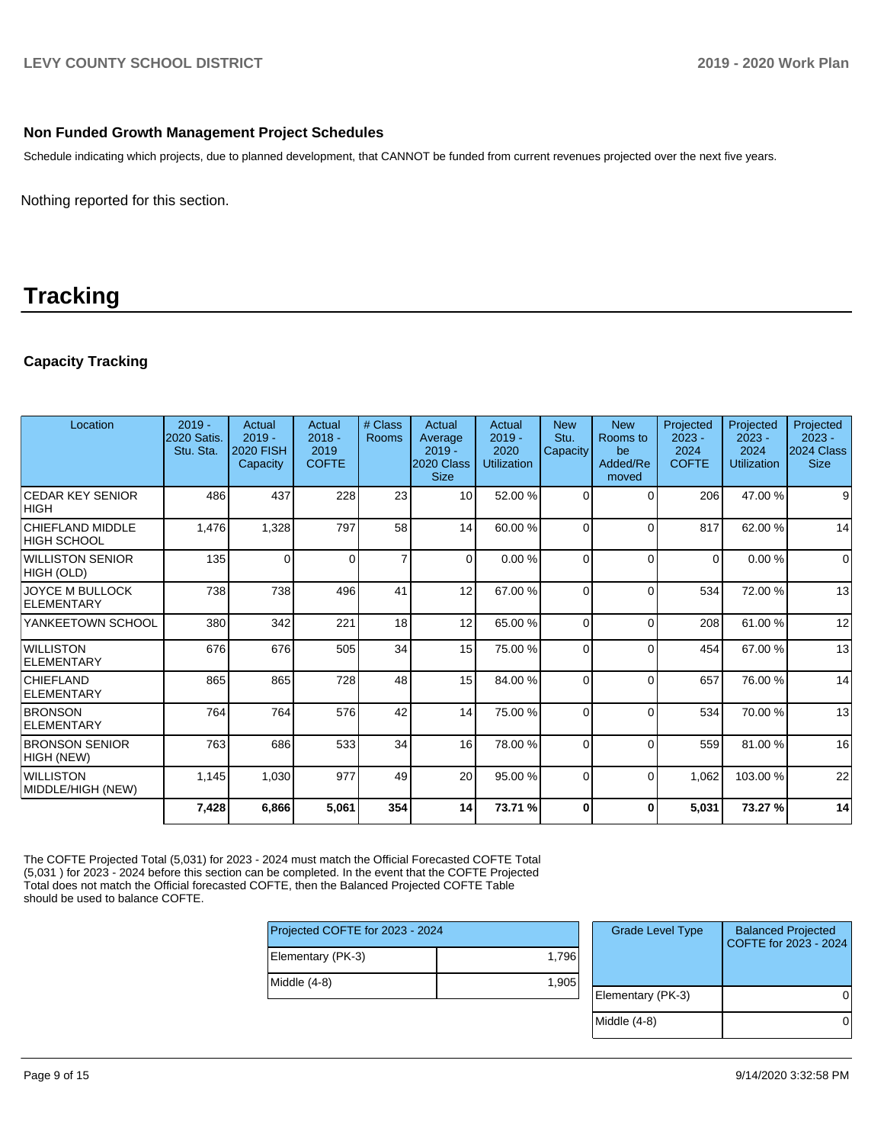#### **Non Funded Growth Management Project Schedules**

Schedule indicating which projects, due to planned development, that CANNOT be funded from current revenues projected over the next five years.

Nothing reported for this section.

## **Tracking**

#### **Capacity Tracking**

| Location                                     | $2019 -$<br><b>2020 Satis.</b><br>Stu. Sta. | <b>Actual</b><br>$2019 -$<br>2020 FISH<br><b>Capacity</b> | Actual<br>$2018 -$<br>2019<br><b>COFTE</b> | # Class<br><b>Rooms</b> | Actual<br>Average<br>$2019 -$<br>2020 Class<br><b>Size</b> | <b>Actual</b><br>$2019 -$<br>2020<br><b>Utilization</b> | <b>New</b><br>Stu.<br>Capacity | <b>New</b><br>Rooms to<br>be<br>Added/Re<br>moved | Projected<br>$2023 -$<br>2024<br><b>COFTE</b> | Projected<br>$2023 -$<br>2024<br><b>Utilization</b> | Projected<br>$2023 -$<br>2024 Class<br><b>Size</b> |
|----------------------------------------------|---------------------------------------------|-----------------------------------------------------------|--------------------------------------------|-------------------------|------------------------------------------------------------|---------------------------------------------------------|--------------------------------|---------------------------------------------------|-----------------------------------------------|-----------------------------------------------------|----------------------------------------------------|
| <b>ICEDAR KEY SENIOR</b><br> HIGH            | 486                                         | 437                                                       | 228                                        | 23                      | 10                                                         | 52.00 %                                                 | $\Omega$                       | $\Omega$                                          | 206                                           | 47.00 %                                             | 9                                                  |
| <b>CHIEFLAND MIDDLE</b><br>IHIGH SCHOOL      | 1,476                                       | 1,328                                                     | 797                                        | 58                      | 14                                                         | 60.00 %                                                 | $\Omega$                       | $\Omega$                                          | 817                                           | 62.00 %                                             | 14                                                 |
| WILLISTON SENIOR<br>HIGH (OLD)               | 135                                         | $\Omega$                                                  | $\Omega$                                   | $\overline{7}$          | $\Omega$                                                   | 0.00%                                                   | $\Omega$                       | $\Omega$                                          | $\Omega$                                      | 0.00%                                               | $\Omega$                                           |
| <b>JOYCE M BULLOCK</b><br>ELEMENTARY         | 738                                         | 738                                                       | 496                                        | 41                      | 12                                                         | 67.00 %                                                 | 0                              | $\Omega$                                          | 534                                           | 72.00 %                                             | 13                                                 |
| YANKEETOWN SCHOOL                            | 380                                         | 342                                                       | 221                                        | 18                      | 12                                                         | 65.00 %                                                 | $\Omega$                       | $\Omega$                                          | 208                                           | 61.00%                                              | 12                                                 |
| <i><b>IWILLISTON</b></i><br>ELEMENTARY       | 676                                         | 676                                                       | 505                                        | 34                      | 15                                                         | 75.00 %                                                 | $\Omega$                       | $\Omega$                                          | 454                                           | 67.00 %                                             | 13                                                 |
| <b>CHIEFLAND</b><br><b>ELEMENTARY</b>        | 865                                         | 865                                                       | 728                                        | 48                      | 15                                                         | 84.00 %                                                 | $\Omega$                       | $\Omega$                                          | 657                                           | 76.00 %                                             | 14                                                 |
| <b>BRONSON</b><br>ELEMENTARY                 | 764                                         | 764                                                       | 576                                        | 42                      | 14                                                         | 75.00 %                                                 | $\Omega$                       | $\Omega$                                          | 534                                           | 70.00 %                                             | 13                                                 |
| <b>BRONSON SENIOR</b><br>HIGH (NEW)          | 763                                         | 686                                                       | 533                                        | 34                      | 16                                                         | 78.00 %                                                 | $\Omega$                       | $\Omega$                                          | 559                                           | 81.00 %                                             | 16                                                 |
| <i><b>WILLISTON</b></i><br>MIDDLE/HIGH (NEW) | 1,145                                       | 1,030                                                     | 977                                        | 49                      | 20                                                         | 95.00 %                                                 | $\Omega$                       | $\Omega$                                          | 1,062                                         | 103.00 %                                            | 22                                                 |
|                                              | 7,428                                       | 6,866                                                     | 5,061                                      | 354                     | 14                                                         | 73.71 %                                                 | O                              | 0                                                 | 5,031                                         | 73.27 %                                             | 14                                                 |

The COFTE Projected Total (5,031) for 2023 - 2024 must match the Official Forecasted COFTE Total (5,031 ) for 2023 - 2024 before this section can be completed. In the event that the COFTE Projected Total does not match the Official forecasted COFTE, then the Balanced Projected COFTE Table should be used to balance COFTE.

| Projected COFTE for 2023 - 2024 |       |  |  |  |  |
|---------------------------------|-------|--|--|--|--|
| Elementary (PK-3)               | 1.796 |  |  |  |  |
| Middle (4-8)                    | 1.905 |  |  |  |  |

| <b>Grade Level Type</b> | <b>Balanced Projected</b><br>COFTE for 2023 - 2024 |
|-------------------------|----------------------------------------------------|
| Elementary (PK-3)       |                                                    |
| Middle $(4-8)$          |                                                    |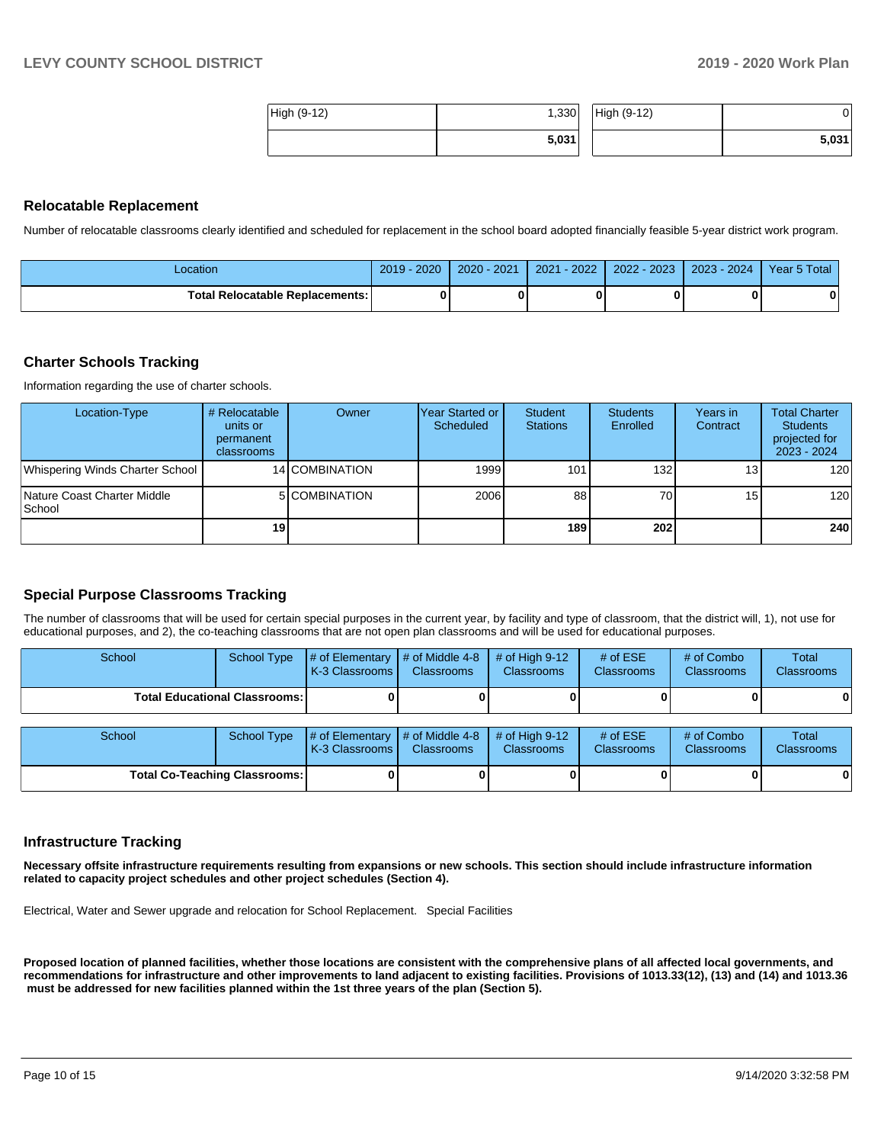| High (9-12) | ا330,، | High (9-12) |       |
|-------------|--------|-------------|-------|
|             | 5,031  |             | 5,031 |

#### **Relocatable Replacement**

Number of relocatable classrooms clearly identified and scheduled for replacement in the school board adopted financially feasible 5-year district work program.

| Location                               | 2020<br>2019 | $2020 - 2021$ | $-2022$<br>2021 | $2022 - 2023$ | 2023 - 2024 | Year 5 Total |
|----------------------------------------|--------------|---------------|-----------------|---------------|-------------|--------------|
| <b>Total Relocatable Replacements:</b> |              |               |                 |               |             |              |

#### **Charter Schools Tracking**

Information regarding the use of charter schools.

| Location-Type                          | # Relocatable<br>units or<br>permanent<br>classrooms | Owner          | IYear Started or<br>Scheduled | Student<br><b>Stations</b> | <b>Students</b><br>Enrolled | Years in<br>Contract | <b>Total Charter</b><br><b>Students</b><br>projected for<br>$2023 - 2024$ |
|----------------------------------------|------------------------------------------------------|----------------|-------------------------------|----------------------------|-----------------------------|----------------------|---------------------------------------------------------------------------|
| Whispering Winds Charter School        |                                                      | 14 COMBINATION | 1999                          | 101                        | 132 <sub>l</sub>            | 131                  | 120                                                                       |
| Nature Coast Charter Middle<br> School |                                                      | 5 COMBINATION  | 2006                          | 88                         | 70I                         | 15                   | 120                                                                       |
|                                        | 19                                                   |                |                               | 189                        | <b>2021</b>                 |                      | 240                                                                       |

#### **Special Purpose Classrooms Tracking**

The number of classrooms that will be used for certain special purposes in the current year, by facility and type of classroom, that the district will, 1), not use for educational purposes, and 2), the co-teaching classrooms that are not open plan classrooms and will be used for educational purposes.

| School                               | <b>School Type</b>                   | # of Elementary $\vert$ # of Middle 4-8<br>K-3 Classrooms I | <b>Classrooms</b> | # of High $9-12$<br><b>Classrooms</b> | # of $ESE$<br><b>Classrooms</b> | # of Combo<br><b>Classrooms</b> | <b>Total</b><br><b>Classrooms</b> |
|--------------------------------------|--------------------------------------|-------------------------------------------------------------|-------------------|---------------------------------------|---------------------------------|---------------------------------|-----------------------------------|
|                                      | <b>Total Educational Classrooms:</b> |                                                             |                   |                                       |                                 |                                 |                                   |
| School                               | <b>School Type</b>                   | # of Elementary $\mid$ # of Middle 4-8<br>K-3 Classrooms I  | <b>Classrooms</b> | # of High $9-12$<br><b>Classrooms</b> | # of $ESE$<br><b>Classrooms</b> | # of Combo<br><b>Classrooms</b> | Total<br><b>Classrooms</b>        |
| <b>Total Co-Teaching Classrooms:</b> |                                      |                                                             |                   |                                       |                                 |                                 | 0                                 |

#### **Infrastructure Tracking**

**Necessary offsite infrastructure requirements resulting from expansions or new schools. This section should include infrastructure information related to capacity project schedules and other project schedules (Section 4).** 

Electrical, Water and Sewer upgrade and relocation for School Replacement. Special Facilities

**Proposed location of planned facilities, whether those locations are consistent with the comprehensive plans of all affected local governments, and recommendations for infrastructure and other improvements to land adjacent to existing facilities. Provisions of 1013.33(12), (13) and (14) and 1013.36 must be addressed for new facilities planned within the 1st three years of the plan (Section 5).**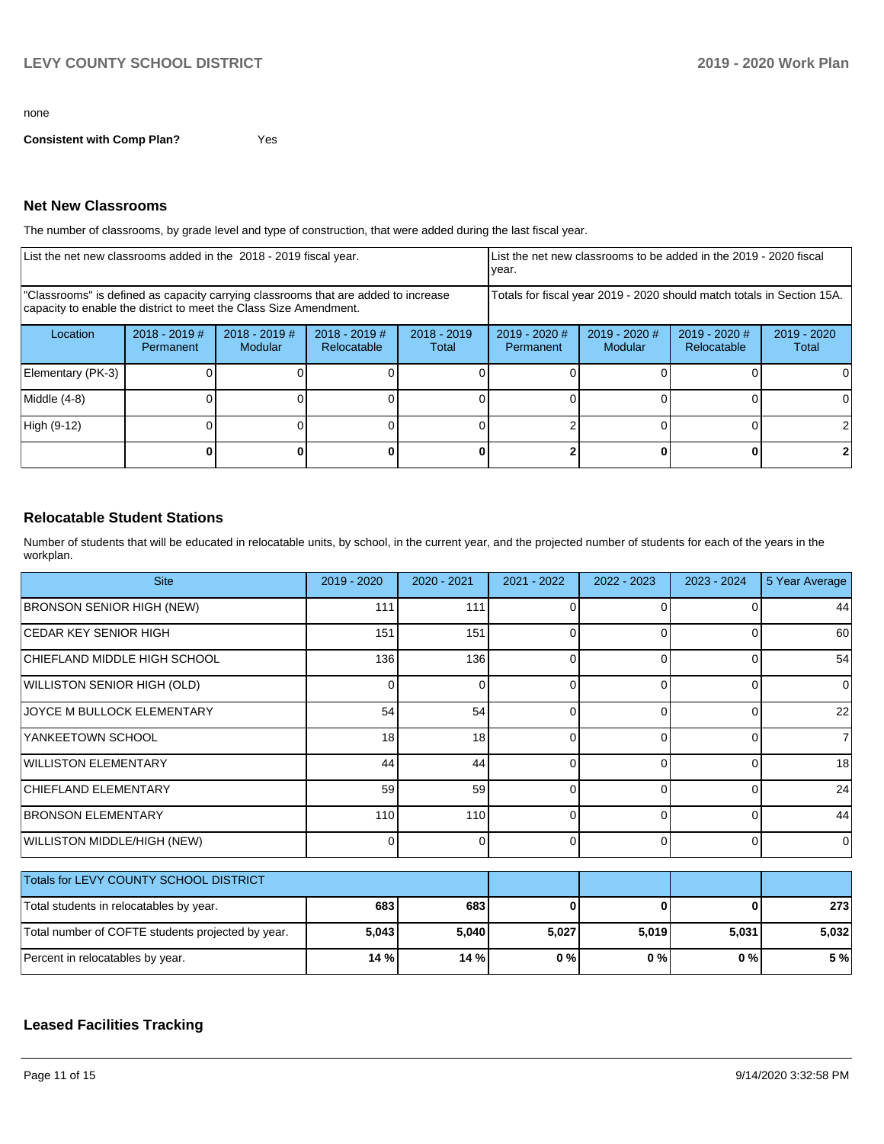#### none

**Consistent with Comp Plan?** Yes

#### **Net New Classrooms**

The number of classrooms, by grade level and type of construction, that were added during the last fiscal year.

| List the net new classrooms added in the 2018 - 2019 fiscal year.                                                                                       | List the net new classrooms to be added in the 2019 - 2020 fiscal<br>year. |                                 |                                |                        |                              |                                                                        |                              |                      |
|---------------------------------------------------------------------------------------------------------------------------------------------------------|----------------------------------------------------------------------------|---------------------------------|--------------------------------|------------------------|------------------------------|------------------------------------------------------------------------|------------------------------|----------------------|
| "Classrooms" is defined as capacity carrying classrooms that are added to increase<br>capacity to enable the district to meet the Class Size Amendment. |                                                                            |                                 |                                |                        |                              | Totals for fiscal year 2019 - 2020 should match totals in Section 15A. |                              |                      |
| Location                                                                                                                                                | $2018 - 2019$ #<br><b>Permanent</b>                                        | 2018 - 2019 #<br><b>Modular</b> | $2018 - 2019$ #<br>Relocatable | $2018 - 2019$<br>Total | $2019 - 2020$ #<br>Permanent | 2019 - 2020 #<br>Modular                                               | 2019 - 2020 #<br>Relocatable | 2019 - 2020<br>Total |
| Elementary (PK-3)                                                                                                                                       |                                                                            |                                 |                                |                        |                              |                                                                        |                              |                      |
| Middle (4-8)                                                                                                                                            |                                                                            |                                 |                                |                        |                              |                                                                        |                              |                      |
| High (9-12)                                                                                                                                             |                                                                            |                                 |                                |                        |                              |                                                                        |                              |                      |
|                                                                                                                                                         |                                                                            |                                 |                                |                        |                              |                                                                        | 0                            |                      |

#### **Relocatable Student Stations**

Number of students that will be educated in relocatable units, by school, in the current year, and the projected number of students for each of the years in the workplan.

| <b>Site</b>                                       | 2019 - 2020 | 2020 - 2021    | 2021 - 2022 | 2022 - 2023  | $2023 - 2024$  | 5 Year Average |
|---------------------------------------------------|-------------|----------------|-------------|--------------|----------------|----------------|
| <b>BRONSON SENIOR HIGH (NEW)</b>                  | 111         | 111            |             | <sup>0</sup> | 0              | 44             |
| <b>CEDAR KEY SENIOR HIGH</b>                      | 151         | 151            | $\Omega$    | 0            | $\Omega$       | 60             |
| CHIEFLAND MIDDLE HIGH SCHOOL                      | 136         | 136            | $\Omega$    | $\Omega$     | $\overline{0}$ | 54             |
| WILLISTON SENIOR HIGH (OLD)                       | ∩           | $\Omega$       |             | $\Omega$     | $\Omega$       | $\overline{0}$ |
| JOYCE M BULLOCK ELEMENTARY                        | 54          | 54             | $\Omega$    | 0            | $\Omega$       | 22             |
| YANKEETOWN SCHOOL                                 | 18          | 18             | $\Omega$    | $\Omega$     | $\Omega$       | $\overline{7}$ |
| <b>WILLISTON ELEMENTARY</b>                       | 44          | 44             | $\Omega$    | 0            | $\overline{0}$ | 18             |
| CHIEFLAND ELEMENTARY                              | 59          | 59             | C           | $\Omega$     | $\Omega$       | 24             |
| <b>BRONSON ELEMENTARY</b>                         | 110         | 110            | $\Omega$    | $\Omega$     | $\Omega$       | 44             |
| WILLISTON MIDDLE/HIGH (NEW)                       | 0           | $\overline{0}$ | $\Omega$    | $\Omega$     | $\overline{0}$ | $\overline{0}$ |
| Totals for LEVY COUNTY SCHOOL DISTRICT            |             |                |             |              |                |                |
|                                                   |             |                |             |              |                |                |
| Total students in relocatables by year.           | 683         | 683            | C           | n            | $\bf{0}$       | 273            |
| Total number of COFTE students projected by year. | 5,043       | 5,040          | 5,027       | 5,019        | 5,031          | 5,032          |
| Percent in relocatables by year.                  | 14 %        | 14 %           | 0%          | 0%           | 0%             | 5 %            |

### **Leased Facilities Tracking**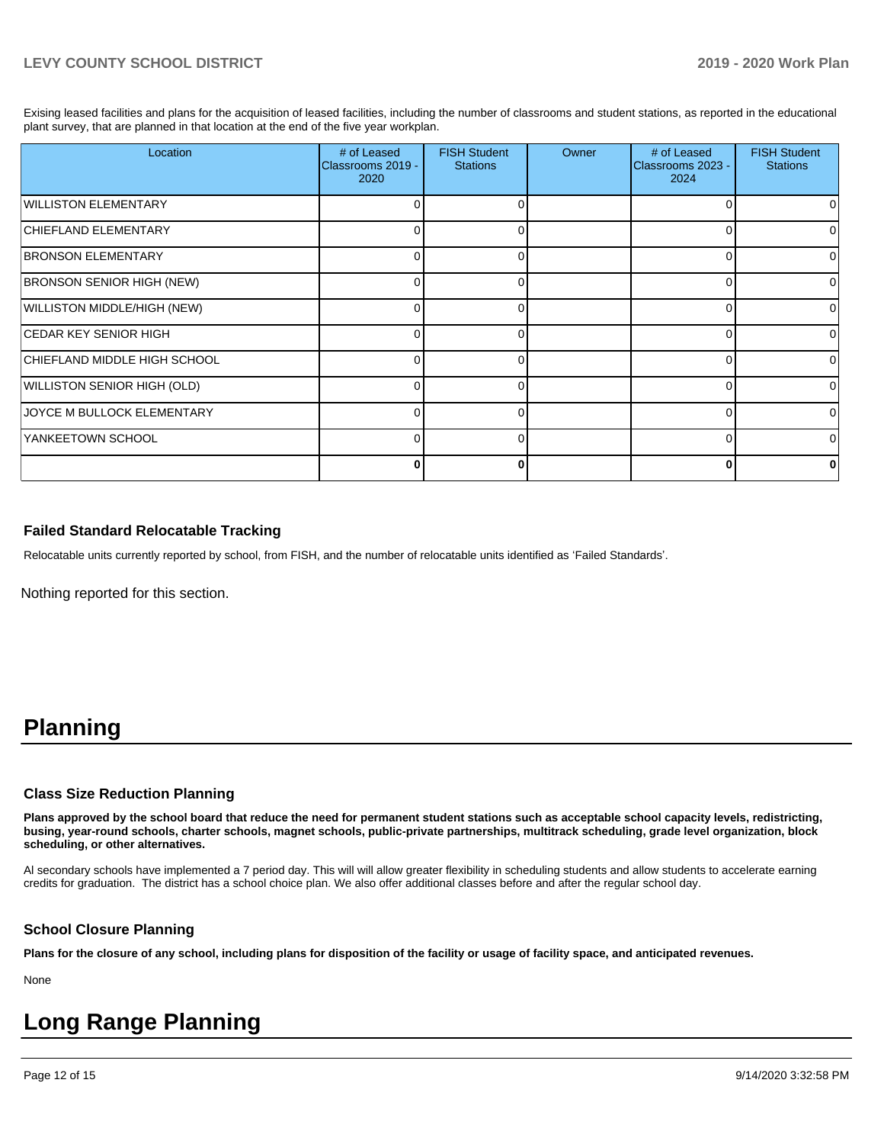Exising leased facilities and plans for the acquisition of leased facilities, including the number of classrooms and student stations, as reported in the educational plant survey, that are planned in that location at the end of the five year workplan.

| Location                         | # of Leased<br>Classrooms 2019 -<br>2020 | <b>FISH Student</b><br><b>Stations</b> | Owner | # of Leased<br>Classrooms 2023 -<br>2024 | <b>FISH Student</b><br><b>Stations</b> |
|----------------------------------|------------------------------------------|----------------------------------------|-------|------------------------------------------|----------------------------------------|
| WILLISTON ELEMENTARY             |                                          | O                                      |       |                                          |                                        |
| CHIEFLAND ELEMENTARY             | 0                                        | 0                                      |       |                                          | 0                                      |
| <b>BRONSON ELEMENTARY</b>        |                                          |                                        |       |                                          | 0                                      |
| <b>BRONSON SENIOR HIGH (NEW)</b> |                                          | O                                      |       |                                          | o                                      |
| WILLISTON MIDDLE/HIGH (NEW)      |                                          | U                                      |       |                                          | 0                                      |
| ICEDAR KEY SENIOR HIGH           | <sup>n</sup>                             | $\Omega$                               |       | n                                        | 0                                      |
| CHIEFLAND MIDDLE HIGH SCHOOL     | 0                                        | 0                                      |       |                                          | 0                                      |
| WILLISTON SENIOR HIGH (OLD)      | <sup>n</sup>                             | 0                                      |       |                                          | 0                                      |
| JOYCE M BULLOCK ELEMENTARY       | 0                                        | 0                                      |       | ი                                        | 0                                      |
| YANKEETOWN SCHOOL                | 0                                        | U                                      |       |                                          | 0                                      |
|                                  |                                          | ŋ                                      |       | 0                                        |                                        |

#### **Failed Standard Relocatable Tracking**

Relocatable units currently reported by school, from FISH, and the number of relocatable units identified as 'Failed Standards'.

Nothing reported for this section.

## **Planning**

#### **Class Size Reduction Planning**

**Plans approved by the school board that reduce the need for permanent student stations such as acceptable school capacity levels, redistricting, busing, year-round schools, charter schools, magnet schools, public-private partnerships, multitrack scheduling, grade level organization, block scheduling, or other alternatives.**

Al secondary schools have implemented a 7 period day. This will will allow greater flexibility in scheduling students and allow students to accelerate earning credits for graduation. The district has a school choice plan. We also offer additional classes before and after the regular school day.

#### **School Closure Planning**

**Plans for the closure of any school, including plans for disposition of the facility or usage of facility space, and anticipated revenues.** 

None

# **Long Range Planning**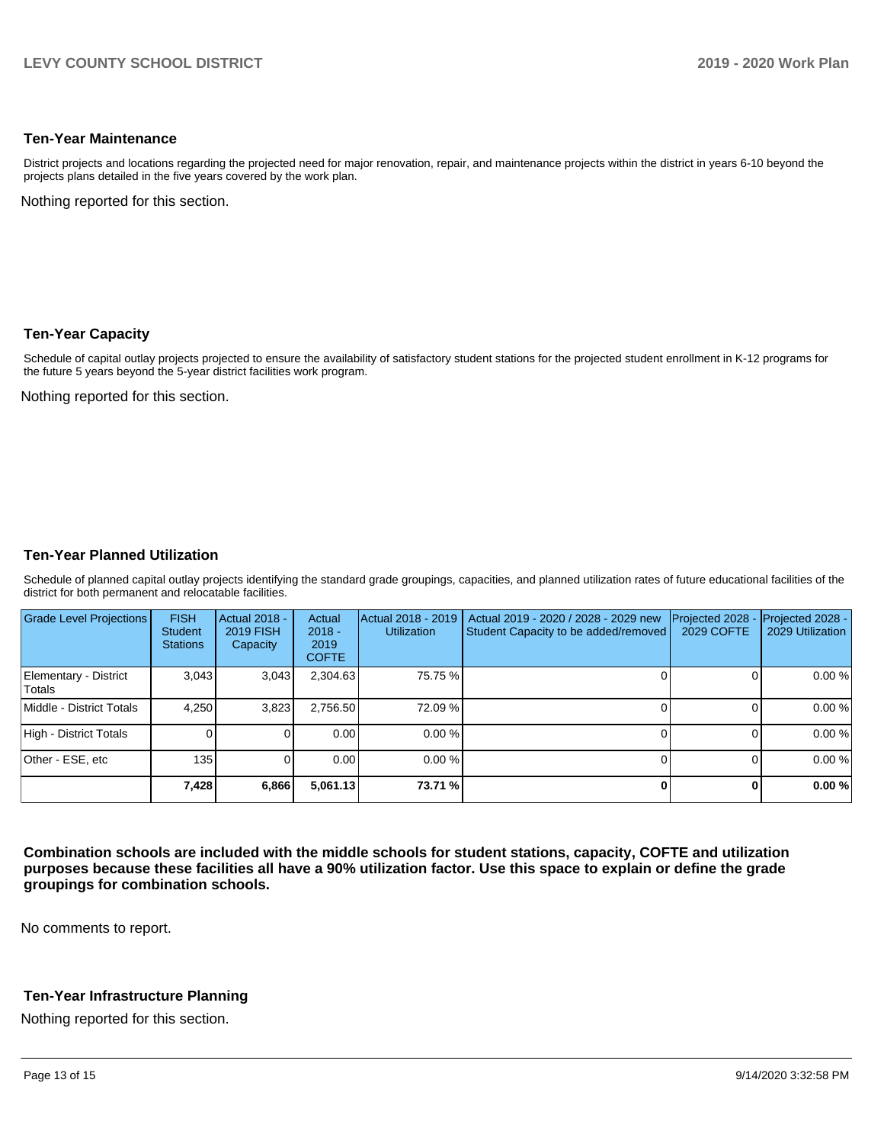#### **Ten-Year Maintenance**

District projects and locations regarding the projected need for major renovation, repair, and maintenance projects within the district in years 6-10 beyond the projects plans detailed in the five years covered by the work plan.

Nothing reported for this section.

#### **Ten-Year Capacity**

Schedule of capital outlay projects projected to ensure the availability of satisfactory student stations for the projected student enrollment in K-12 programs for the future 5 years beyond the 5-year district facilities work program.

Nothing reported for this section.

#### **Ten-Year Planned Utilization**

Schedule of planned capital outlay projects identifying the standard grade groupings, capacities, and planned utilization rates of future educational facilities of the district for both permanent and relocatable facilities.

| <b>Grade Level Projections</b>  | <b>FISH</b><br><b>Student</b><br><b>Stations</b> | <b>Actual 2018 -</b><br>2019 FISH<br>Capacity | Actual<br>$2018 -$<br>2019<br><b>COFTE</b> | Actual 2018 - 2019<br><b>Utilization</b> | Actual 2019 - 2020 / 2028 - 2029 new<br>Student Capacity to be added/removed | Projected 2028<br>2029 COFTE | Projected 2028 -<br>2029 Utilization |
|---------------------------------|--------------------------------------------------|-----------------------------------------------|--------------------------------------------|------------------------------------------|------------------------------------------------------------------------------|------------------------------|--------------------------------------|
| Elementary - District<br>Totals | 3.043                                            | 3,043                                         | 2,304.63                                   | 75.75 %                                  |                                                                              |                              | 0.00%                                |
| Middle - District Totals        | 4.250                                            | 3,823                                         | 2,756.50                                   | 72.09 %                                  |                                                                              |                              | 0.00%                                |
| High - District Totals          |                                                  |                                               | 0.00                                       | 0.00%                                    |                                                                              |                              | 0.00 %                               |
| Other - ESE, etc                | 135                                              |                                               | 0.00                                       | 0.00%                                    |                                                                              |                              | 0.00%                                |
|                                 | 7,428                                            | 6,866                                         | 5,061.13                                   | 73.71 %                                  |                                                                              |                              | 0.00 %                               |

**Combination schools are included with the middle schools for student stations, capacity, COFTE and utilization purposes because these facilities all have a 90% utilization factor. Use this space to explain or define the grade groupings for combination schools.** 

No comments to report.

#### **Ten-Year Infrastructure Planning**

Nothing reported for this section.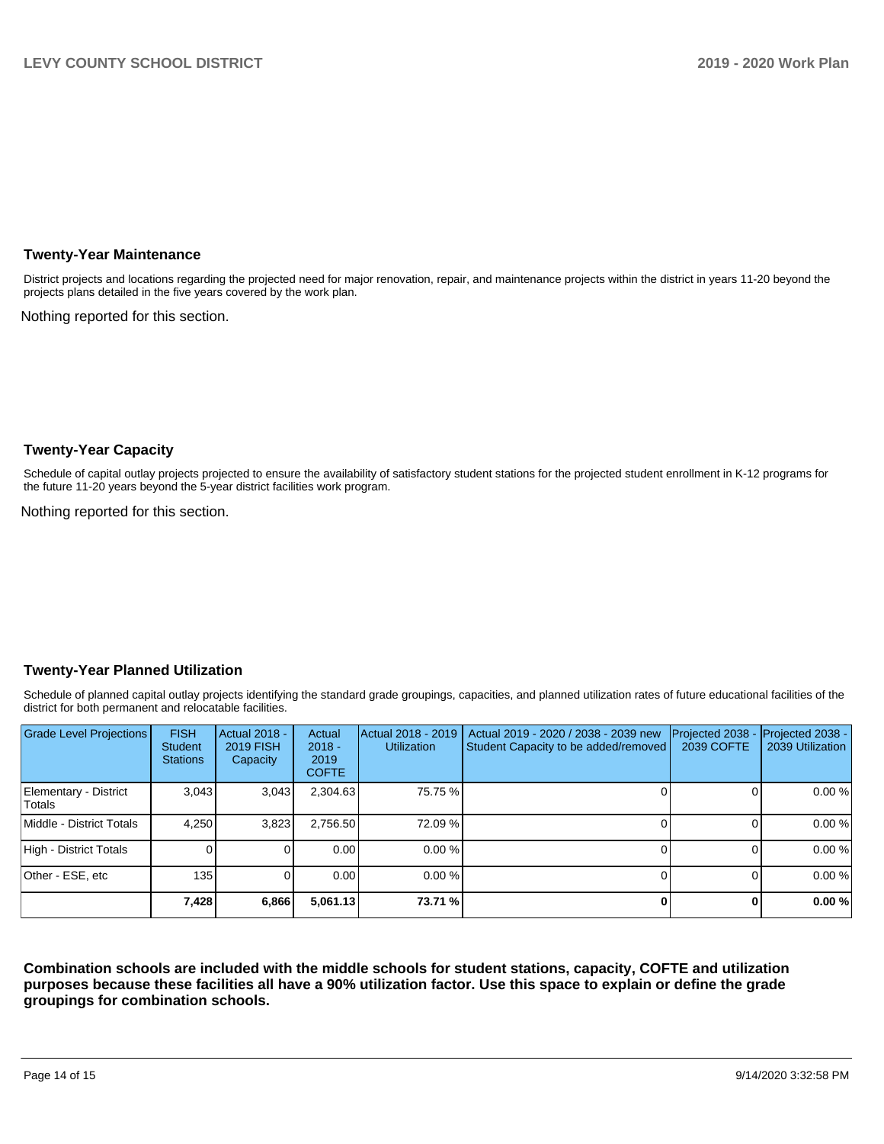#### **Twenty-Year Maintenance**

District projects and locations regarding the projected need for major renovation, repair, and maintenance projects within the district in years 11-20 beyond the projects plans detailed in the five years covered by the work plan.

Nothing reported for this section.

#### **Twenty-Year Capacity**

Schedule of capital outlay projects projected to ensure the availability of satisfactory student stations for the projected student enrollment in K-12 programs for the future 11-20 years beyond the 5-year district facilities work program.

Nothing reported for this section.

#### **Twenty-Year Planned Utilization**

Schedule of planned capital outlay projects identifying the standard grade groupings, capacities, and planned utilization rates of future educational facilities of the district for both permanent and relocatable facilities.

| <b>Grade Level Projections</b>  | <b>FISH</b><br><b>Student</b><br><b>Stations</b> | <b>Actual 2018 -</b><br><b>2019 FISH</b><br>Capacity | Actual<br>$2018 -$<br>2019<br><b>COFTE</b> | Actual 2018 - 2019<br><b>Utilization</b> | Actual 2019 - 2020 / 2038 - 2039 new<br>Student Capacity to be added/removed | Projected 2038<br>2039 COFTE | Projected 2038 -<br>2039 Utilization |
|---------------------------------|--------------------------------------------------|------------------------------------------------------|--------------------------------------------|------------------------------------------|------------------------------------------------------------------------------|------------------------------|--------------------------------------|
| Elementary - District<br>Totals | 3.043                                            | 3,043                                                | 2,304.63                                   | 75.75 %                                  |                                                                              |                              | 0.00%                                |
| Middle - District Totals        | 4.250                                            | 3,823                                                | 2,756.50                                   | 72.09 %                                  |                                                                              |                              | 0.00%                                |
| High - District Totals          |                                                  |                                                      | 0.00                                       | 0.00%                                    |                                                                              |                              | 0.00%                                |
| Other - ESE, etc                | 135                                              |                                                      | 0.00                                       | $0.00 \%$                                |                                                                              |                              | 0.00%                                |
|                                 | 7,428                                            | 6,866                                                | 5,061.13                                   | 73.71 %                                  |                                                                              |                              | 0.00 %                               |

**Combination schools are included with the middle schools for student stations, capacity, COFTE and utilization purposes because these facilities all have a 90% utilization factor. Use this space to explain or define the grade groupings for combination schools.**